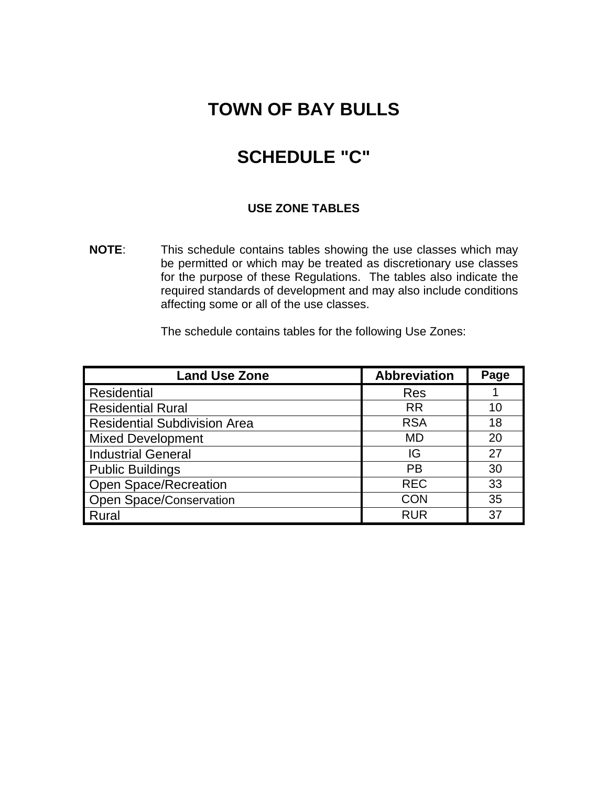# **TOWN OF BAY BULLS**

# **SCHEDULE "C"**

#### **USE ZONE TABLES**

**NOTE**: This schedule contains tables showing the use classes which may be permitted or which may be treated as discretionary use classes for the purpose of these Regulations. The tables also indicate the required standards of development and may also include conditions affecting some or all of the use classes.

The schedule contains tables for the following Use Zones:

 $\mathbb{R}^2$ 

| <b>Land Use Zone</b>                | <b>Abbreviation</b> | Page |
|-------------------------------------|---------------------|------|
| Residential                         | <b>Res</b>          |      |
| <b>Residential Rural</b>            | <b>RR</b>           | 10   |
| <b>Residential Subdivision Area</b> | <b>RSA</b>          | 18   |
| <b>Mixed Development</b>            | <b>MD</b>           | 20   |
| <b>Industrial General</b>           | IG                  | 27   |
| <b>Public Buildings</b>             | <b>PB</b>           | 30   |
| Open Space/Recreation               | <b>REC</b>          | 33   |
| <b>Open Space/Conservation</b>      | <b>CON</b>          | 35   |
| Rural                               | <b>RUR</b>          | 37   |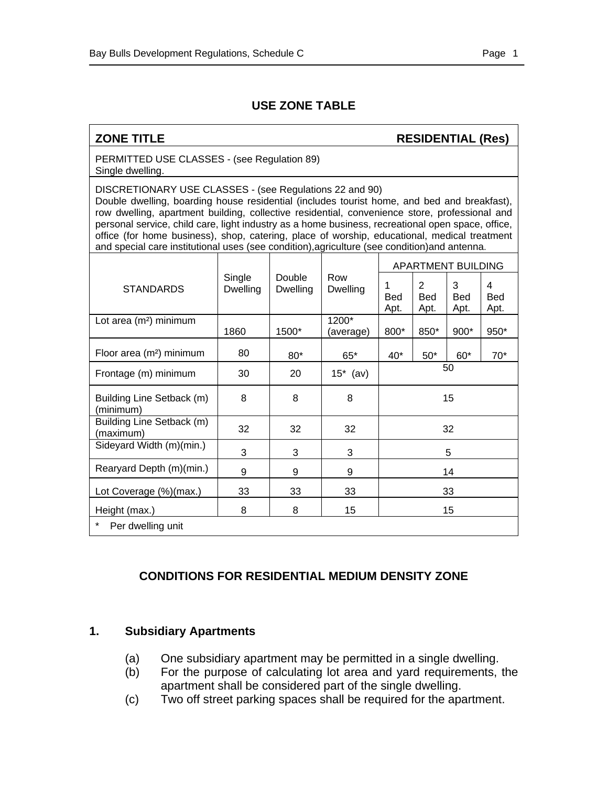$\overline{a}$ 

#### **ZONE TITLE RESIDENTIAL (Res)**

PERMITTED USE CLASSES - (see Regulation 89) Single dwelling.

DISCRETIONARY USE CLASSES - (see Regulations 22 and 90) Double dwelling, boarding house residential (includes tourist home, and bed and breakfast), row dwelling, apartment building, collective residential, convenience store, professional and personal service, child care, light industry as a home business, recreational open space, office, office (for home business), shop, catering, place of worship, educational, medical treatment and special care institutional uses (see condition),agriculture (see condition)and antenna.

|                                                                                                             |      |                         |                         | <b>APARTMENT BUILDING</b> |                         |       |       |
|-------------------------------------------------------------------------------------------------------------|------|-------------------------|-------------------------|---------------------------|-------------------------|-------|-------|
| Single<br>Row<br><b>Double</b><br><b>STANDARDS</b><br><b>Dwelling</b><br><b>Dwelling</b><br><b>Dwelling</b> |      | 1<br><b>Bed</b><br>Apt. | 2<br><b>Bed</b><br>Apt. | 3<br>Bed<br>Apt.          | 4<br><b>Bed</b><br>Apt. |       |       |
| Lot area (m <sup>2</sup> ) minimum                                                                          |      |                         | 1200*                   |                           |                         |       |       |
|                                                                                                             | 1860 | 1500*                   | (average)               | 800*                      | 850*                    | 900*  | 950*  |
| Floor area (m <sup>2</sup> ) minimum                                                                        | 80   | 80*                     | $65*$                   | $40*$                     | $50*$                   | $60*$ | $70*$ |
| Frontage (m) minimum                                                                                        | 30   | 20                      | $15^*$ (av)             | 50                        |                         |       |       |
| Building Line Setback (m)<br>(minimum)                                                                      | 8    | 8                       | 8                       | 15                        |                         |       |       |
| Building Line Setback (m)<br>(maximum)                                                                      | 32   | 32                      | 32                      | 32                        |                         |       |       |
| Sideyard Width (m)(min.)                                                                                    | 3    | 3                       | 3                       | 5                         |                         |       |       |
| Rearyard Depth (m)(min.)                                                                                    | 9    | 9                       | 9                       | 14                        |                         |       |       |
| Lot Coverage (%)(max.)                                                                                      | 33   | 33                      | 33                      | 33                        |                         |       |       |
| Height (max.)                                                                                               | 8    | 8                       | 15                      | 15                        |                         |       |       |
| *<br>Per dwelling unit                                                                                      |      |                         |                         |                           |                         |       |       |

# **CONDITIONS FOR RESIDENTIAL MEDIUM DENSITY ZONE**

#### **1. Subsidiary Apartments**

- (a) One subsidiary apartment may be permitted in a single dwelling.
- (b) For the purpose of calculating lot area and yard requirements, the apartment shall be considered part of the single dwelling.
- (c) Two off street parking spaces shall be required for the apartment.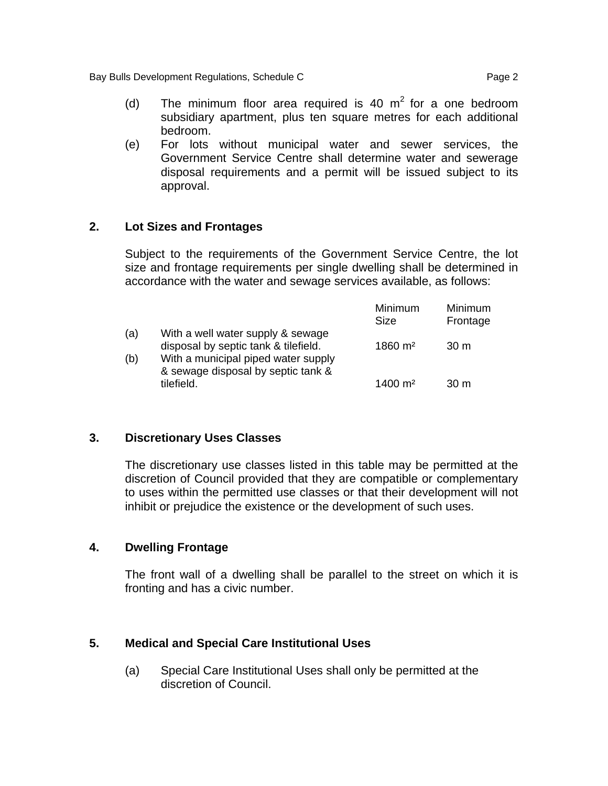Bay Bulls Development Regulations, Schedule C<br>
Page 2

- (d) The minimum floor area required is 40  $m<sup>2</sup>$  for a one bedroom subsidiary apartment, plus ten square metres for each additional bedroom.
- (e) For lots without municipal water and sewer services, the Government Service Centre shall determine water and sewerage disposal requirements and a permit will be issued subject to its approval.

### **2. Lot Sizes and Frontages**

Subject to the requirements of the Government Service Centre, the lot size and frontage requirements per single dwelling shall be determined in accordance with the water and sewage services available, as follows:

|     |                                                                           | Minimum<br>Size        | Minimum<br>Frontage |
|-----|---------------------------------------------------------------------------|------------------------|---------------------|
| (a) | With a well water supply & sewage<br>disposal by septic tank & tilefield. | $1860 \; \mathrm{m}^2$ | 30 <sub>m</sub>     |
| (b) | With a municipal piped water supply<br>& sewage disposal by septic tank & |                        |                     |
|     | tilefield.                                                                | 1400 $m2$              | 30 <sub>m</sub>     |

#### **3. Discretionary Uses Classes**

The discretionary use classes listed in this table may be permitted at the discretion of Council provided that they are compatible or complementary to uses within the permitted use classes or that their development will not inhibit or prejudice the existence or the development of such uses.

#### **4. Dwelling Frontage**

The front wall of a dwelling shall be parallel to the street on which it is fronting and has a civic number.

#### **5. Medical and Special Care Institutional Uses**

(a) Special Care Institutional Uses shall only be permitted at the discretion of Council.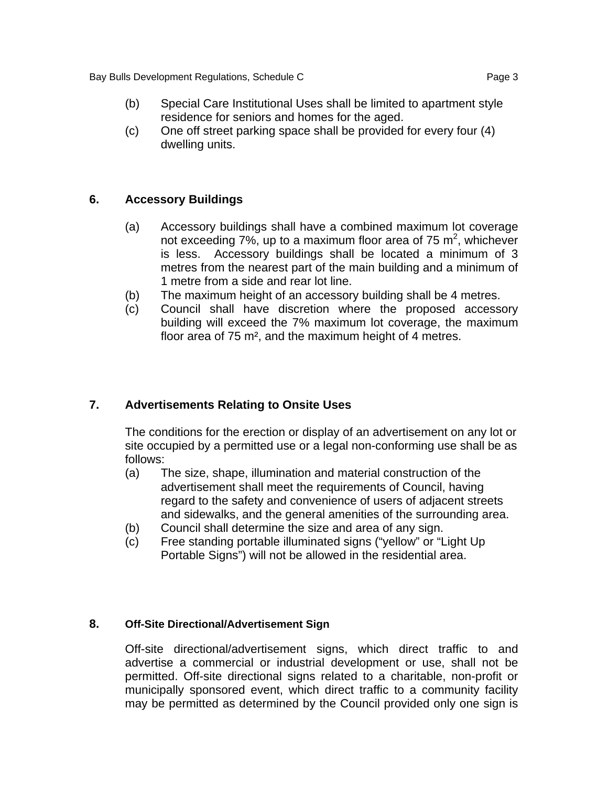Bay Bulls Development Regulations, Schedule C **Page 3** Page 3

(c) One off street parking space shall be provided for every four (4) dwelling units.

# **6. Accessory Buildings**

- (a) Accessory buildings shall have a combined maximum lot coverage not exceeding 7%, up to a maximum floor area of 75 m<sup>2</sup>, whichever is less. Accessory buildings shall be located a minimum of 3 metres from the nearest part of the main building and a minimum of 1 metre from a side and rear lot line.
- (b) The maximum height of an accessory building shall be 4 metres.
- (c) Council shall have discretion where the proposed accessory building will exceed the 7% maximum lot coverage, the maximum floor area of 75 m², and the maximum height of 4 metres.

# **7. Advertisements Relating to Onsite Uses**

The conditions for the erection or display of an advertisement on any lot or site occupied by a permitted use or a legal non-conforming use shall be as follows:

- (a) The size, shape, illumination and material construction of the advertisement shall meet the requirements of Council, having regard to the safety and convenience of users of adjacent streets and sidewalks, and the general amenities of the surrounding area.
- (b) Council shall determine the size and area of any sign.
- (c) Free standing portable illuminated signs ("yellow" or "Light Up Portable Signs") will not be allowed in the residential area.

#### **8. Off-Site Directional/Advertisement Sign**

Off-site directional/advertisement signs, which direct traffic to and advertise a commercial or industrial development or use, shall not be permitted. Off-site directional signs related to a charitable, non-profit or municipally sponsored event, which direct traffic to a community facility may be permitted as determined by the Council provided only one sign is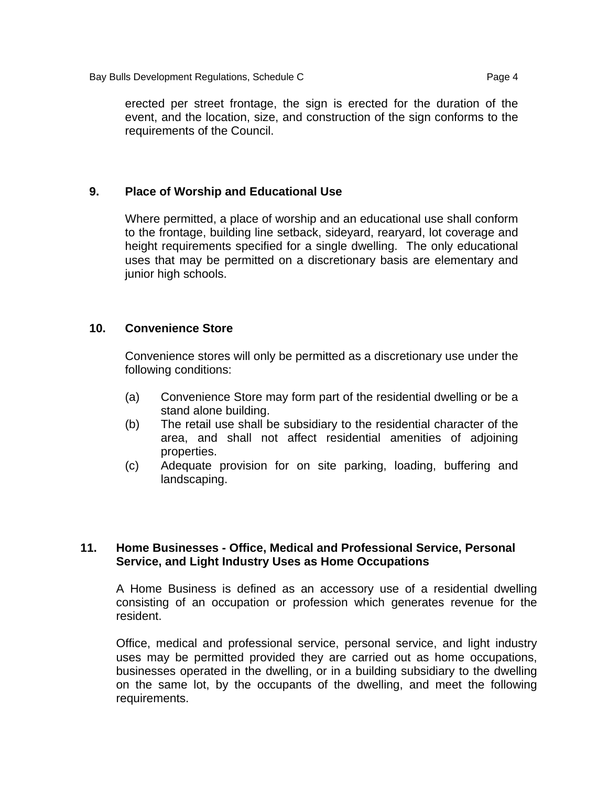erected per street frontage, the sign is erected for the duration of the event, and the location, size, and construction of the sign conforms to the requirements of the Council.

#### **9. Place of Worship and Educational Use**

Where permitted, a place of worship and an educational use shall conform to the frontage, building line setback, sideyard, rearyard, lot coverage and height requirements specified for a single dwelling. The only educational uses that may be permitted on a discretionary basis are elementary and junior high schools.

#### **10. Convenience Store**

Convenience stores will only be permitted as a discretionary use under the following conditions:

- (a) Convenience Store may form part of the residential dwelling or be a stand alone building.
- (b) The retail use shall be subsidiary to the residential character of the area, and shall not affect residential amenities of adjoining properties.
- (c) Adequate provision for on site parking, loading, buffering and landscaping.

#### **11. Home Businesses - Office, Medical and Professional Service, Personal Service, and Light Industry Uses as Home Occupations**

A Home Business is defined as an accessory use of a residential dwelling consisting of an occupation or profession which generates revenue for the resident.

Office, medical and professional service, personal service, and light industry uses may be permitted provided they are carried out as home occupations, businesses operated in the dwelling, or in a building subsidiary to the dwelling on the same lot, by the occupants of the dwelling, and meet the following requirements.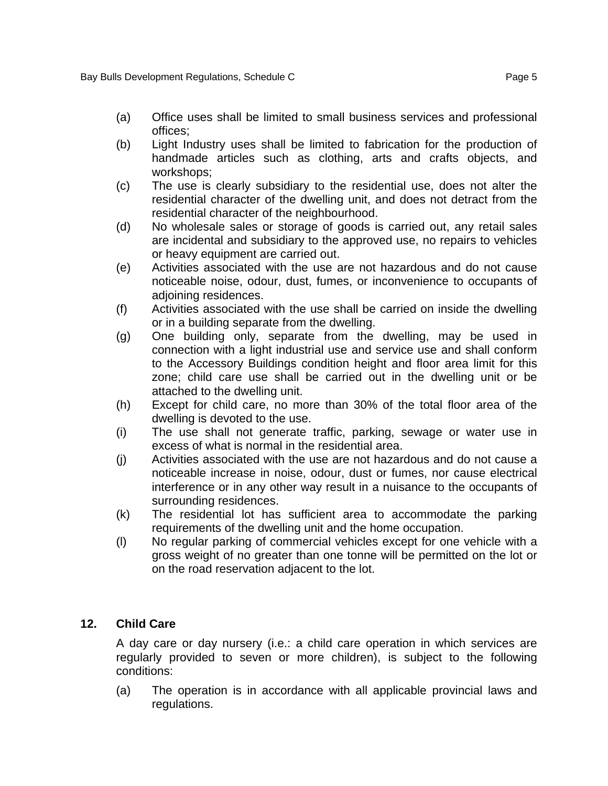- (a) Office uses shall be limited to small business services and professional offices;
- (b) Light Industry uses shall be limited to fabrication for the production of handmade articles such as clothing, arts and crafts objects, and workshops;
- (c) The use is clearly subsidiary to the residential use, does not alter the residential character of the dwelling unit, and does not detract from the residential character of the neighbourhood.
- (d) No wholesale sales or storage of goods is carried out, any retail sales are incidental and subsidiary to the approved use, no repairs to vehicles or heavy equipment are carried out.
- (e) Activities associated with the use are not hazardous and do not cause noticeable noise, odour, dust, fumes, or inconvenience to occupants of adjoining residences.
- (f) Activities associated with the use shall be carried on inside the dwelling or in a building separate from the dwelling.
- (g) One building only, separate from the dwelling, may be used in connection with a light industrial use and service use and shall conform to the Accessory Buildings condition height and floor area limit for this zone; child care use shall be carried out in the dwelling unit or be attached to the dwelling unit.
- (h) Except for child care, no more than 30% of the total floor area of the dwelling is devoted to the use.
- (i) The use shall not generate traffic, parking, sewage or water use in excess of what is normal in the residential area.
- (j) Activities associated with the use are not hazardous and do not cause a noticeable increase in noise, odour, dust or fumes, nor cause electrical interference or in any other way result in a nuisance to the occupants of surrounding residences.
- (k) The residential lot has sufficient area to accommodate the parking requirements of the dwelling unit and the home occupation.
- (l) No regular parking of commercial vehicles except for one vehicle with a gross weight of no greater than one tonne will be permitted on the lot or on the road reservation adjacent to the lot.

# **12. Child Care**

A day care or day nursery (i.e.: a child care operation in which services are regularly provided to seven or more children), is subject to the following conditions:

(a) The operation is in accordance with all applicable provincial laws and regulations.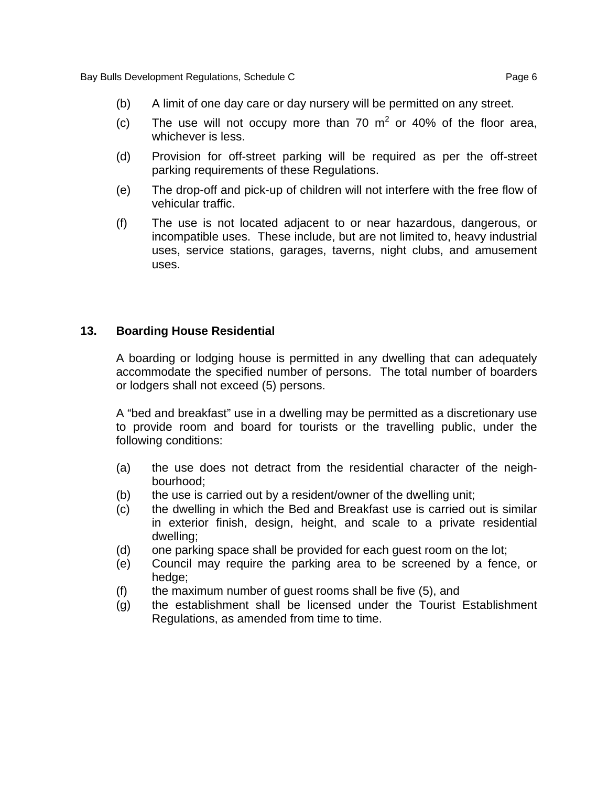- (b) A limit of one day care or day nursery will be permitted on any street.
- (c) The use will not occupy more than 70  $m^2$  or 40% of the floor area, whichever is less.
- (d) Provision for off-street parking will be required as per the off-street parking requirements of these Regulations.
- (e) The drop-off and pick-up of children will not interfere with the free flow of vehicular traffic.
- (f) The use is not located adjacent to or near hazardous, dangerous, or incompatible uses. These include, but are not limited to, heavy industrial uses, service stations, garages, taverns, night clubs, and amusement uses.

#### **13. Boarding House Residential**

A boarding or lodging house is permitted in any dwelling that can adequately accommodate the specified number of persons. The total number of boarders or lodgers shall not exceed (5) persons.

A "bed and breakfast" use in a dwelling may be permitted as a discretionary use to provide room and board for tourists or the travelling public, under the following conditions:

- (a) the use does not detract from the residential character of the neighbourhood;
- (b) the use is carried out by a resident/owner of the dwelling unit;
- (c) the dwelling in which the Bed and Breakfast use is carried out is similar in exterior finish, design, height, and scale to a private residential dwelling;
- (d) one parking space shall be provided for each guest room on the lot;
- (e) Council may require the parking area to be screened by a fence, or hedge;
- (f) the maximum number of guest rooms shall be five (5), and
- (g) the establishment shall be licensed under the Tourist Establishment Regulations, as amended from time to time.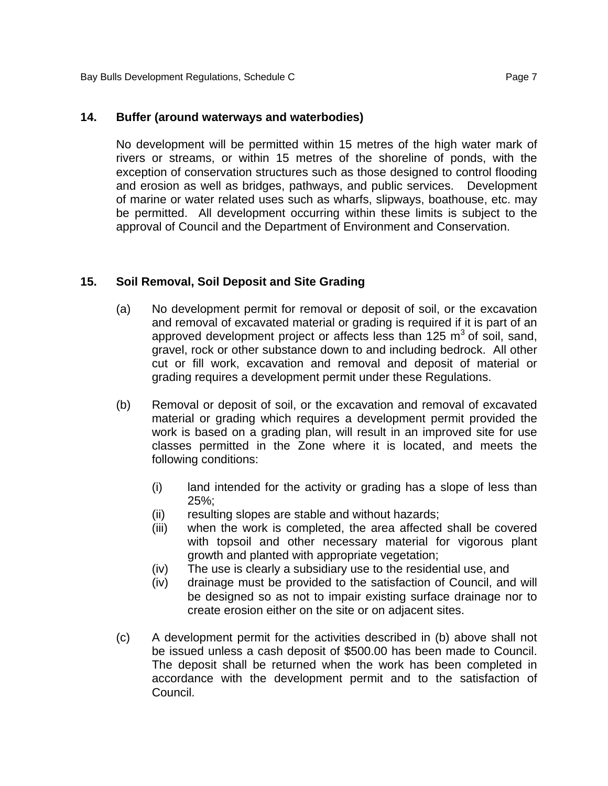#### **14. Buffer (around waterways and waterbodies)**

No development will be permitted within 15 metres of the high water mark of rivers or streams, or within 15 metres of the shoreline of ponds, with the exception of conservation structures such as those designed to control flooding and erosion as well as bridges, pathways, and public services. Development of marine or water related uses such as wharfs, slipways, boathouse, etc. may be permitted. All development occurring within these limits is subject to the approval of Council and the Department of Environment and Conservation.

### **15. Soil Removal, Soil Deposit and Site Grading**

- (a) No development permit for removal or deposit of soil, or the excavation and removal of excavated material or grading is required if it is part of an approved development project or affects less than 125  $m<sup>3</sup>$  of soil, sand, gravel, rock or other substance down to and including bedrock. All other cut or fill work, excavation and removal and deposit of material or grading requires a development permit under these Regulations.
- (b) Removal or deposit of soil, or the excavation and removal of excavated material or grading which requires a development permit provided the work is based on a grading plan, will result in an improved site for use classes permitted in the Zone where it is located, and meets the following conditions:
	- (i) land intended for the activity or grading has a slope of less than 25%;
	- (ii) resulting slopes are stable and without hazards;
	- (iii) when the work is completed, the area affected shall be covered with topsoil and other necessary material for vigorous plant growth and planted with appropriate vegetation;
	- (iv) The use is clearly a subsidiary use to the residential use, and
	- (iv) drainage must be provided to the satisfaction of Council, and will be designed so as not to impair existing surface drainage nor to create erosion either on the site or on adjacent sites.
- (c) A development permit for the activities described in (b) above shall not be issued unless a cash deposit of \$500.00 has been made to Council. The deposit shall be returned when the work has been completed in accordance with the development permit and to the satisfaction of Council.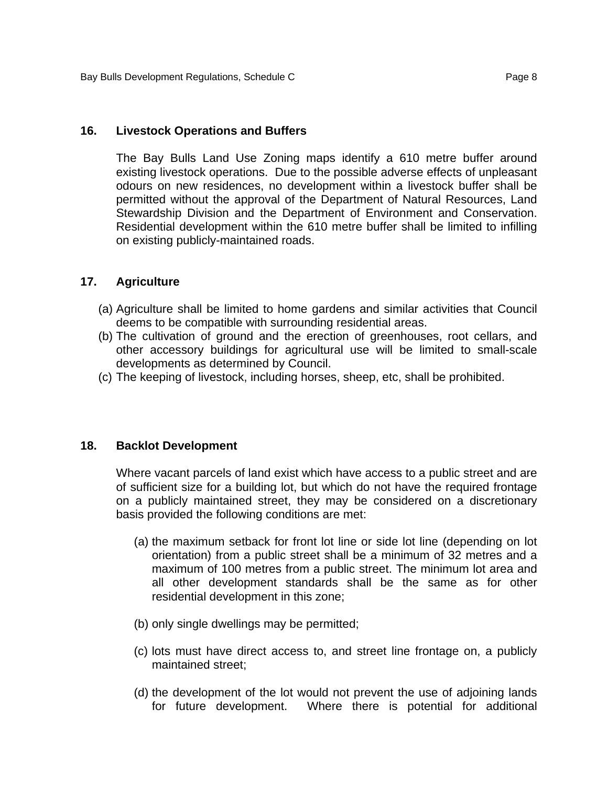#### **16. Livestock Operations and Buffers**

 The Bay Bulls Land Use Zoning maps identify a 610 metre buffer around existing livestock operations. Due to the possible adverse effects of unpleasant odours on new residences, no development within a livestock buffer shall be permitted without the approval of the Department of Natural Resources, Land Stewardship Division and the Department of Environment and Conservation. Residential development within the 610 metre buffer shall be limited to infilling on existing publicly-maintained roads.

#### **17. Agriculture**

- (a) Agriculture shall be limited to home gardens and similar activities that Council deems to be compatible with surrounding residential areas.
- (b) The cultivation of ground and the erection of greenhouses, root cellars, and other accessory buildings for agricultural use will be limited to small-scale developments as determined by Council.
- (c) The keeping of livestock, including horses, sheep, etc, shall be prohibited.

#### **18. Backlot Development**

Where vacant parcels of land exist which have access to a public street and are of sufficient size for a building lot, but which do not have the required frontage on a publicly maintained street, they may be considered on a discretionary basis provided the following conditions are met:

- (a) the maximum setback for front lot line or side lot line (depending on lot orientation) from a public street shall be a minimum of 32 metres and a maximum of 100 metres from a public street. The minimum lot area and all other development standards shall be the same as for other residential development in this zone;
- (b) only single dwellings may be permitted;
- (c) lots must have direct access to, and street line frontage on, a publicly maintained street;
- (d) the development of the lot would not prevent the use of adjoining lands for future development. Where there is potential for additional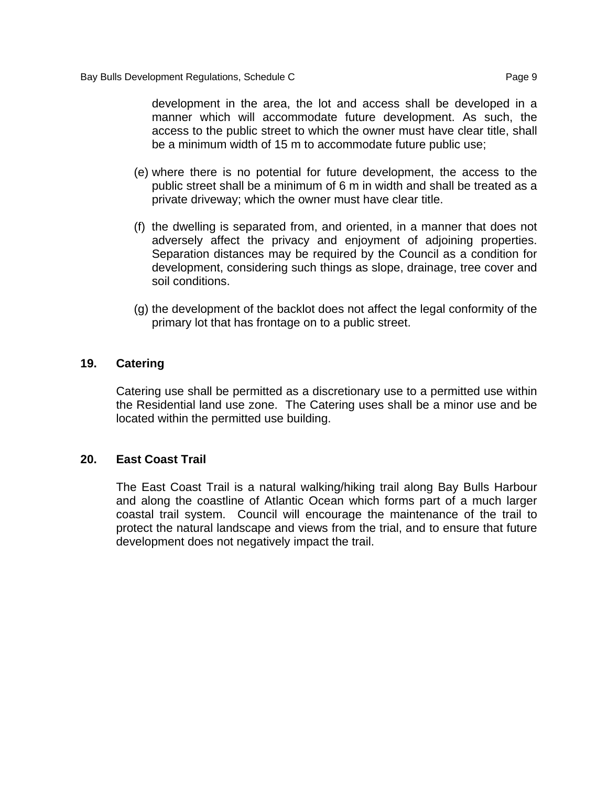development in the area, the lot and access shall be developed in a manner which will accommodate future development. As such, the access to the public street to which the owner must have clear title, shall be a minimum width of 15 m to accommodate future public use;

- (e) where there is no potential for future development, the access to the public street shall be a minimum of 6 m in width and shall be treated as a private driveway; which the owner must have clear title.
- (f) the dwelling is separated from, and oriented, in a manner that does not adversely affect the privacy and enjoyment of adjoining properties. Separation distances may be required by the Council as a condition for development, considering such things as slope, drainage, tree cover and soil conditions.
- (g) the development of the backlot does not affect the legal conformity of the primary lot that has frontage on to a public street.

#### **19. Catering**

Catering use shall be permitted as a discretionary use to a permitted use within the Residential land use zone. The Catering uses shall be a minor use and be located within the permitted use building.

#### **20. East Coast Trail**

The East Coast Trail is a natural walking/hiking trail along Bay Bulls Harbour and along the coastline of Atlantic Ocean which forms part of a much larger coastal trail system. Council will encourage the maintenance of the trail to protect the natural landscape and views from the trial, and to ensure that future development does not negatively impact the trail.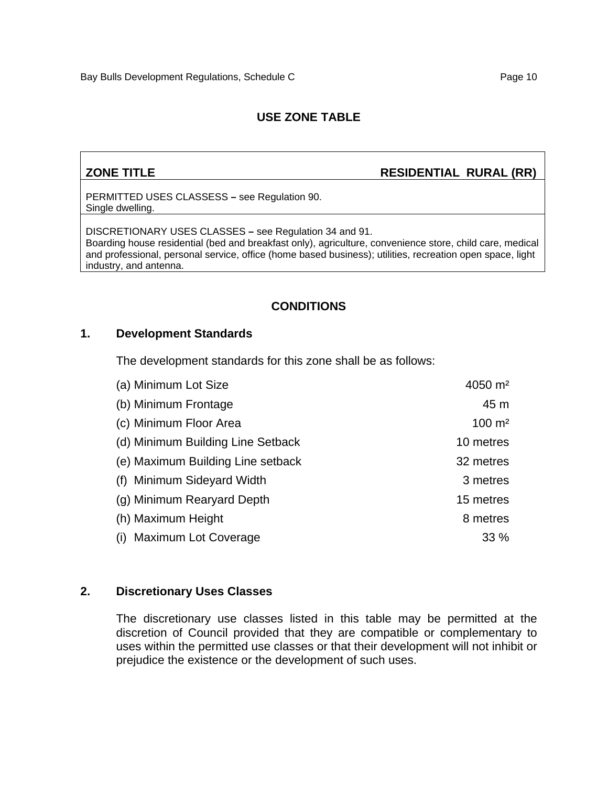# **ZONE TITLE** RESIDENTIAL RURAL (RR)

PERMITTED USES CLASSESS **–** see Regulation 90. Single dwelling.

DISCRETIONARY USES CLASSES **–** see Regulation 34 and 91. Boarding house residential (bed and breakfast only), agriculture, convenience store, child care, medical and professional, personal service, office (home based business); utilities, recreation open space, light industry, and antenna.

### **CONDITIONS**

#### **1. Development Standards**

The development standards for this zone shall be as follows:

| (a) Minimum Lot Size              | $4050 \; \text{m}^2$ |
|-----------------------------------|----------------------|
| (b) Minimum Frontage              | 45 m                 |
| (c) Minimum Floor Area            | $100 \; \text{m}^2$  |
| (d) Minimum Building Line Setback | 10 metres            |
| (e) Maximum Building Line setback | 32 metres            |
| (f) Minimum Sideyard Width        | 3 metres             |
| (g) Minimum Rearyard Depth        | 15 metres            |
| (h) Maximum Height                | 8 metres             |
| (i) Maximum Lot Coverage          | 33%                  |

#### **2. Discretionary Uses Classes**

The discretionary use classes listed in this table may be permitted at the discretion of Council provided that they are compatible or complementary to uses within the permitted use classes or that their development will not inhibit or prejudice the existence or the development of such uses.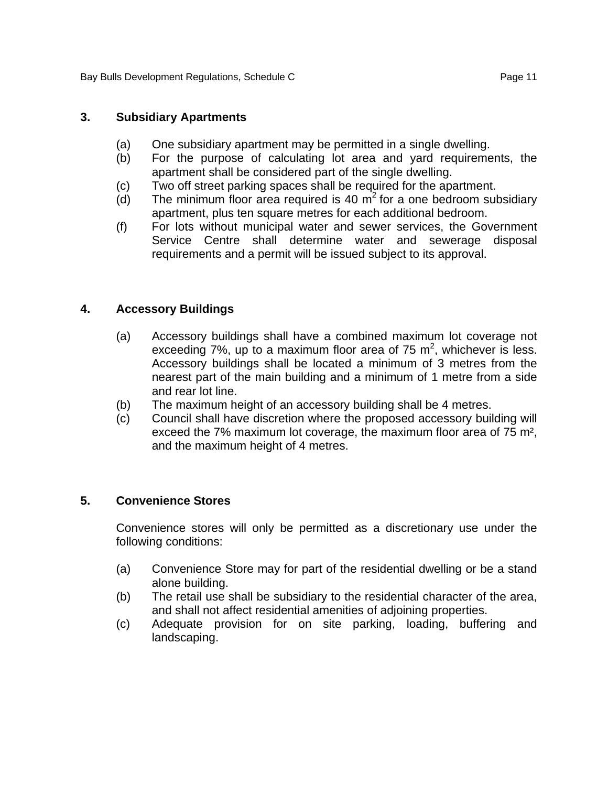#### **3. Subsidiary Apartments**

- (a) One subsidiary apartment may be permitted in a single dwelling.
- (b) For the purpose of calculating lot area and yard requirements, the apartment shall be considered part of the single dwelling.
- (c) Two off street parking spaces shall be required for the apartment.
- (d) The minimum floor area required is 40  $m^2$  for a one bedroom subsidiary apartment, plus ten square metres for each additional bedroom.
- (f) For lots without municipal water and sewer services, the Government Service Centre shall determine water and sewerage disposal requirements and a permit will be issued subject to its approval.

### **4. Accessory Buildings**

- (a) Accessory buildings shall have a combined maximum lot coverage not exceeding  $7\%$ , up to a maximum floor area of  $75 \text{ m}^2$ , whichever is less. Accessory buildings shall be located a minimum of 3 metres from the nearest part of the main building and a minimum of 1 metre from a side and rear lot line.
- (b) The maximum height of an accessory building shall be 4 metres.
- (c) Council shall have discretion where the proposed accessory building will exceed the 7% maximum lot coverage, the maximum floor area of 75 m², and the maximum height of 4 metres.

#### **5. Convenience Stores**

Convenience stores will only be permitted as a discretionary use under the following conditions:

- (a) Convenience Store may for part of the residential dwelling or be a stand alone building.
- (b) The retail use shall be subsidiary to the residential character of the area, and shall not affect residential amenities of adjoining properties.
- (c) Adequate provision for on site parking, loading, buffering and landscaping.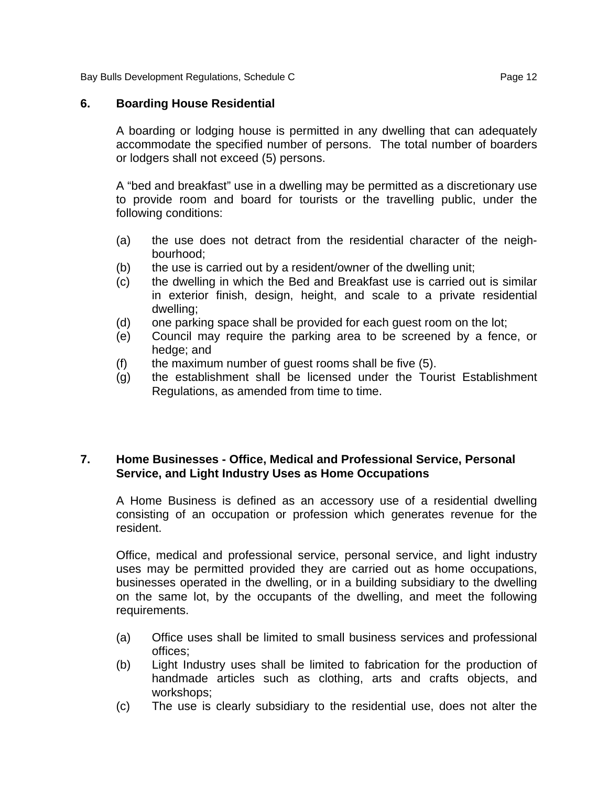Bay Bulls Development Regulations, Schedule C<br>
Page 12

#### **6. Boarding House Residential**

A boarding or lodging house is permitted in any dwelling that can adequately accommodate the specified number of persons. The total number of boarders or lodgers shall not exceed (5) persons.

A "bed and breakfast" use in a dwelling may be permitted as a discretionary use to provide room and board for tourists or the travelling public, under the following conditions:

- (a) the use does not detract from the residential character of the neighbourhood;
- (b) the use is carried out by a resident/owner of the dwelling unit;
- (c) the dwelling in which the Bed and Breakfast use is carried out is similar in exterior finish, design, height, and scale to a private residential dwelling;
- (d) one parking space shall be provided for each guest room on the lot;
- (e) Council may require the parking area to be screened by a fence, or hedge; and
- (f) the maximum number of guest rooms shall be five (5).
- (g) the establishment shall be licensed under the Tourist Establishment Regulations, as amended from time to time.

### **7. Home Businesses - Office, Medical and Professional Service, Personal Service, and Light Industry Uses as Home Occupations**

A Home Business is defined as an accessory use of a residential dwelling consisting of an occupation or profession which generates revenue for the resident.

Office, medical and professional service, personal service, and light industry uses may be permitted provided they are carried out as home occupations, businesses operated in the dwelling, or in a building subsidiary to the dwelling on the same lot, by the occupants of the dwelling, and meet the following requirements.

- (a) Office uses shall be limited to small business services and professional offices;
- (b) Light Industry uses shall be limited to fabrication for the production of handmade articles such as clothing, arts and crafts objects, and workshops;
- (c) The use is clearly subsidiary to the residential use, does not alter the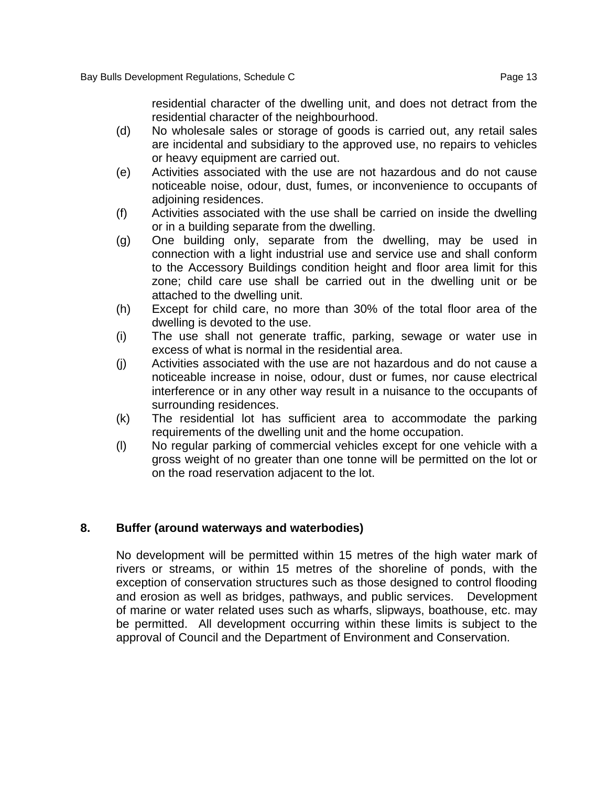residential character of the dwelling unit, and does not detract from the residential character of the neighbourhood.

- (d) No wholesale sales or storage of goods is carried out, any retail sales are incidental and subsidiary to the approved use, no repairs to vehicles or heavy equipment are carried out.
- (e) Activities associated with the use are not hazardous and do not cause noticeable noise, odour, dust, fumes, or inconvenience to occupants of adioining residences.
- (f) Activities associated with the use shall be carried on inside the dwelling or in a building separate from the dwelling.
- (g) One building only, separate from the dwelling, may be used in connection with a light industrial use and service use and shall conform to the Accessory Buildings condition height and floor area limit for this zone; child care use shall be carried out in the dwelling unit or be attached to the dwelling unit.
- (h) Except for child care, no more than 30% of the total floor area of the dwelling is devoted to the use.
- (i) The use shall not generate traffic, parking, sewage or water use in excess of what is normal in the residential area.
- (j) Activities associated with the use are not hazardous and do not cause a noticeable increase in noise, odour, dust or fumes, nor cause electrical interference or in any other way result in a nuisance to the occupants of surrounding residences.
- (k) The residential lot has sufficient area to accommodate the parking requirements of the dwelling unit and the home occupation.
- (l) No regular parking of commercial vehicles except for one vehicle with a gross weight of no greater than one tonne will be permitted on the lot or on the road reservation adjacent to the lot.

#### **8. Buffer (around waterways and waterbodies)**

No development will be permitted within 15 metres of the high water mark of rivers or streams, or within 15 metres of the shoreline of ponds, with the exception of conservation structures such as those designed to control flooding and erosion as well as bridges, pathways, and public services. Development of marine or water related uses such as wharfs, slipways, boathouse, etc. may be permitted. All development occurring within these limits is subject to the approval of Council and the Department of Environment and Conservation.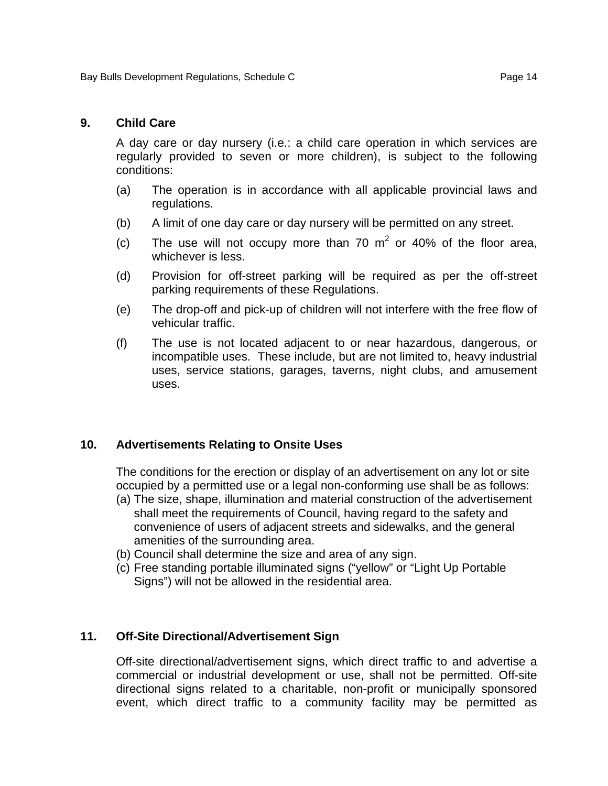#### **9. Child Care**

A day care or day nursery (i.e.: a child care operation in which services are regularly provided to seven or more children), is subject to the following conditions:

- (a) The operation is in accordance with all applicable provincial laws and regulations.
- (b) A limit of one day care or day nursery will be permitted on any street.
- (c) The use will not occupy more than 70  $m^2$  or 40% of the floor area, whichever is less.
- (d) Provision for off-street parking will be required as per the off-street parking requirements of these Regulations.
- (e) The drop-off and pick-up of children will not interfere with the free flow of vehicular traffic.
- (f) The use is not located adjacent to or near hazardous, dangerous, or incompatible uses. These include, but are not limited to, heavy industrial uses, service stations, garages, taverns, night clubs, and amusement uses.

#### **10. Advertisements Relating to Onsite Uses**

The conditions for the erection or display of an advertisement on any lot or site occupied by a permitted use or a legal non-conforming use shall be as follows:

- (a) The size, shape, illumination and material construction of the advertisement shall meet the requirements of Council, having regard to the safety and convenience of users of adjacent streets and sidewalks, and the general amenities of the surrounding area.
- (b) Council shall determine the size and area of any sign.
- (c) Free standing portable illuminated signs ("yellow" or "Light Up Portable Signs") will not be allowed in the residential area.

#### **11. Off-Site Directional/Advertisement Sign**

Off-site directional/advertisement signs, which direct traffic to and advertise a commercial or industrial development or use, shall not be permitted. Off-site directional signs related to a charitable, non-profit or municipally sponsored event, which direct traffic to a community facility may be permitted as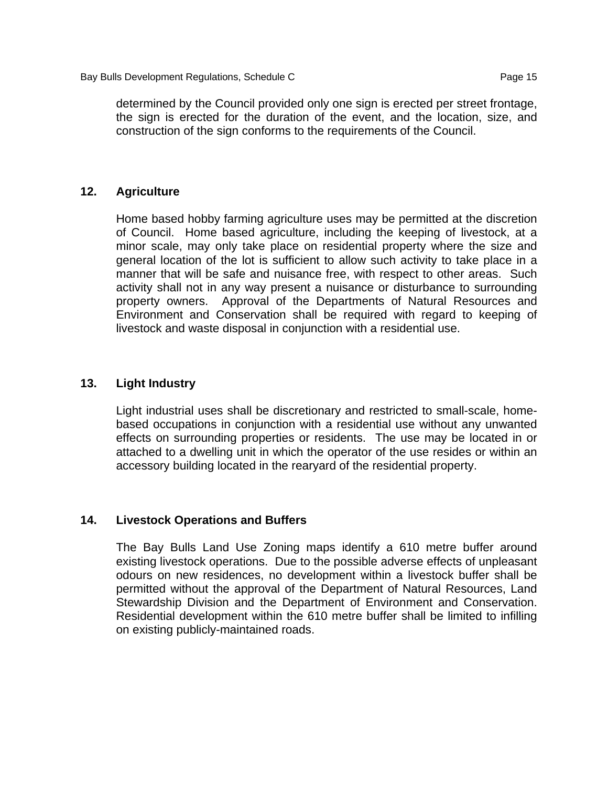determined by the Council provided only one sign is erected per street frontage, the sign is erected for the duration of the event, and the location, size, and construction of the sign conforms to the requirements of the Council.

#### **12. Agriculture**

Home based hobby farming agriculture uses may be permitted at the discretion of Council. Home based agriculture, including the keeping of livestock, at a minor scale, may only take place on residential property where the size and general location of the lot is sufficient to allow such activity to take place in a manner that will be safe and nuisance free, with respect to other areas. Such activity shall not in any way present a nuisance or disturbance to surrounding property owners. Approval of the Departments of Natural Resources and Environment and Conservation shall be required with regard to keeping of livestock and waste disposal in conjunction with a residential use.

#### **13. Light Industry**

Light industrial uses shall be discretionary and restricted to small-scale, homebased occupations in conjunction with a residential use without any unwanted effects on surrounding properties or residents. The use may be located in or attached to a dwelling unit in which the operator of the use resides or within an accessory building located in the rearyard of the residential property.

#### **14. Livestock Operations and Buffers**

 The Bay Bulls Land Use Zoning maps identify a 610 metre buffer around existing livestock operations. Due to the possible adverse effects of unpleasant odours on new residences, no development within a livestock buffer shall be permitted without the approval of the Department of Natural Resources, Land Stewardship Division and the Department of Environment and Conservation. Residential development within the 610 metre buffer shall be limited to infilling on existing publicly-maintained roads.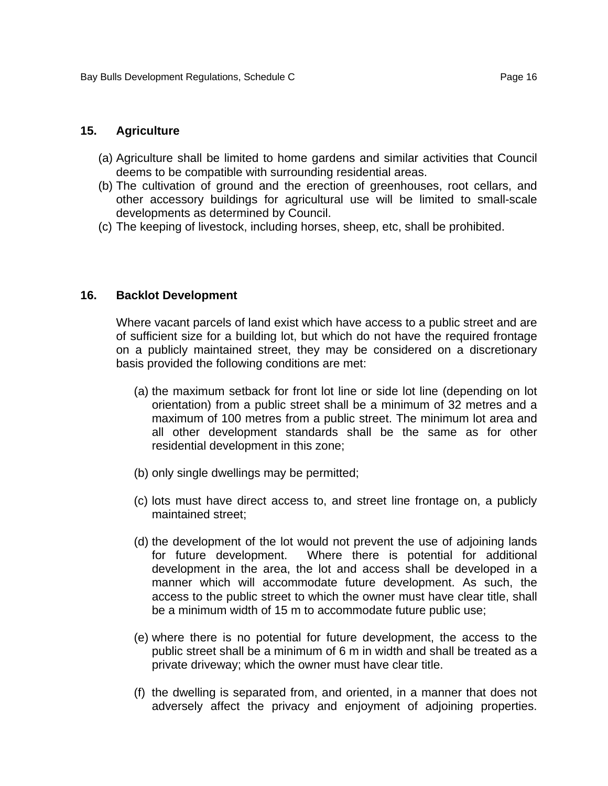#### **15. Agriculture**

- (a) Agriculture shall be limited to home gardens and similar activities that Council deems to be compatible with surrounding residential areas.
- (b) The cultivation of ground and the erection of greenhouses, root cellars, and other accessory buildings for agricultural use will be limited to small-scale developments as determined by Council.
- (c) The keeping of livestock, including horses, sheep, etc, shall be prohibited.

#### **16. Backlot Development**

Where vacant parcels of land exist which have access to a public street and are of sufficient size for a building lot, but which do not have the required frontage on a publicly maintained street, they may be considered on a discretionary basis provided the following conditions are met:

- (a) the maximum setback for front lot line or side lot line (depending on lot orientation) from a public street shall be a minimum of 32 metres and a maximum of 100 metres from a public street. The minimum lot area and all other development standards shall be the same as for other residential development in this zone;
- (b) only single dwellings may be permitted;
- (c) lots must have direct access to, and street line frontage on, a publicly maintained street;
- (d) the development of the lot would not prevent the use of adjoining lands for future development. Where there is potential for additional development in the area, the lot and access shall be developed in a manner which will accommodate future development. As such, the access to the public street to which the owner must have clear title, shall be a minimum width of 15 m to accommodate future public use;
- (e) where there is no potential for future development, the access to the public street shall be a minimum of 6 m in width and shall be treated as a private driveway; which the owner must have clear title.
- (f) the dwelling is separated from, and oriented, in a manner that does not adversely affect the privacy and enjoyment of adjoining properties.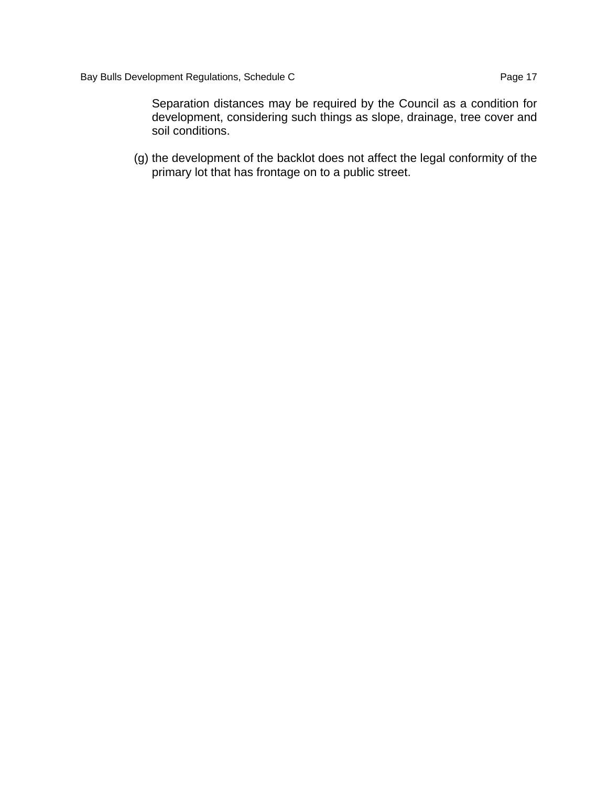Separation distances may be required by the Council as a condition for development, considering such things as slope, drainage, tree cover and soil conditions.

(g) the development of the backlot does not affect the legal conformity of the primary lot that has frontage on to a public street.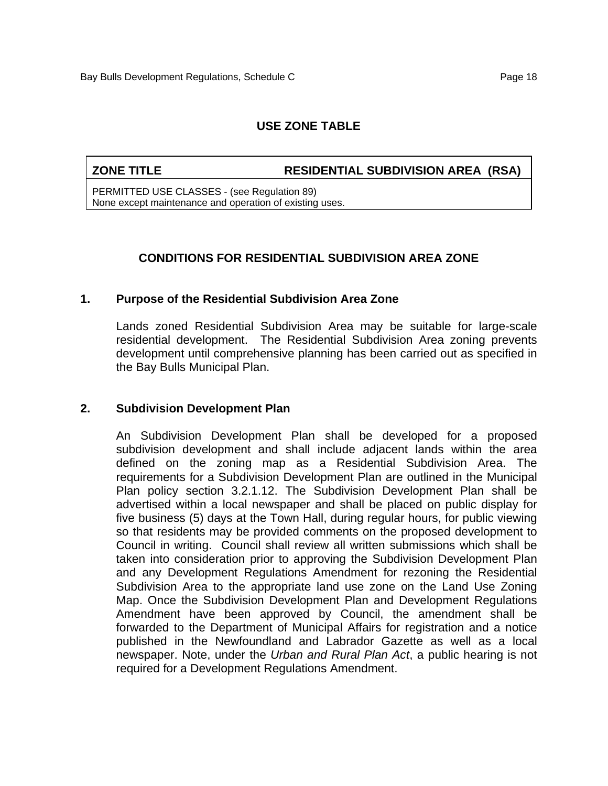#### **ZONE TITLE RESIDENTIAL SUBDIVISION AREA (RSA)**

PERMITTED USE CLASSES - (see Regulation 89) None except maintenance and operation of existing uses.

#### **CONDITIONS FOR RESIDENTIAL SUBDIVISION AREA ZONE**

#### **1. Purpose of the Residential Subdivision Area Zone**

Lands zoned Residential Subdivision Area may be suitable for large-scale residential development. The Residential Subdivision Area zoning prevents development until comprehensive planning has been carried out as specified in the Bay Bulls Municipal Plan.

#### **2. Subdivision Development Plan**

An Subdivision Development Plan shall be developed for a proposed subdivision development and shall include adjacent lands within the area defined on the zoning map as a Residential Subdivision Area. The requirements for a Subdivision Development Plan are outlined in the Municipal Plan policy section 3.2.1.12. The Subdivision Development Plan shall be advertised within a local newspaper and shall be placed on public display for five business (5) days at the Town Hall, during regular hours, for public viewing so that residents may be provided comments on the proposed development to Council in writing. Council shall review all written submissions which shall be taken into consideration prior to approving the Subdivision Development Plan and any Development Regulations Amendment for rezoning the Residential Subdivision Area to the appropriate land use zone on the Land Use Zoning Map. Once the Subdivision Development Plan and Development Regulations Amendment have been approved by Council, the amendment shall be forwarded to the Department of Municipal Affairs for registration and a notice published in the Newfoundland and Labrador Gazette as well as a local newspaper. Note, under the *Urban and Rural Plan Act*, a public hearing is not required for a Development Regulations Amendment.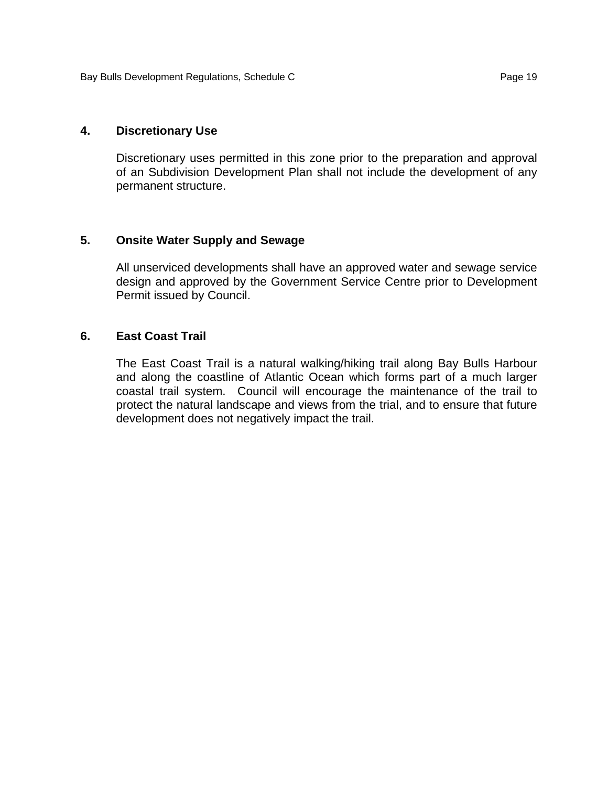#### **4. Discretionary Use**

Discretionary uses permitted in this zone prior to the preparation and approval of an Subdivision Development Plan shall not include the development of any permanent structure.

#### **5. Onsite Water Supply and Sewage**

All unserviced developments shall have an approved water and sewage service design and approved by the Government Service Centre prior to Development Permit issued by Council.

#### **6. East Coast Trail**

The East Coast Trail is a natural walking/hiking trail along Bay Bulls Harbour and along the coastline of Atlantic Ocean which forms part of a much larger coastal trail system. Council will encourage the maintenance of the trail to protect the natural landscape and views from the trial, and to ensure that future development does not negatively impact the trail.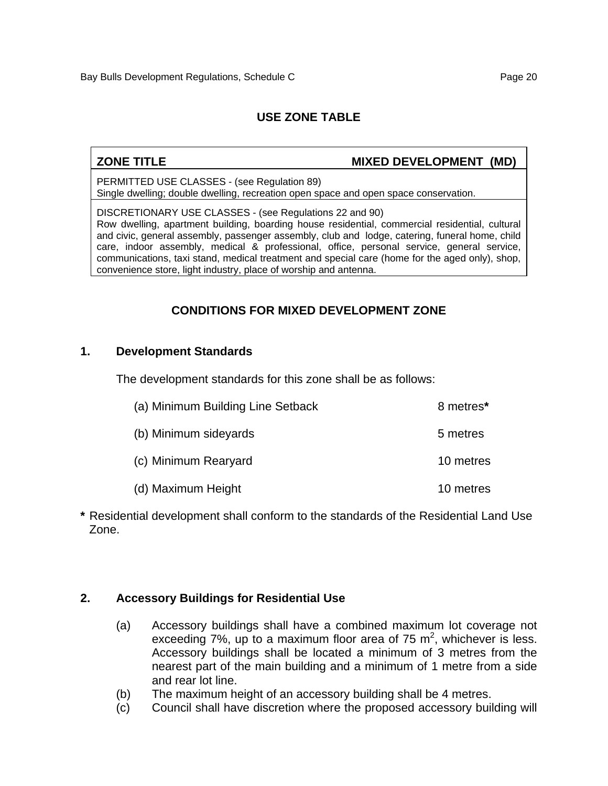**ZONE TITLE MIXED DEVELOPMENT (MD)** 

PERMITTED USE CLASSES - (see Regulation 89) Single dwelling; double dwelling, recreation open space and open space conservation.

DISCRETIONARY USE CLASSES - (see Regulations 22 and 90) Row dwelling, apartment building, boarding house residential, commercial residential, cultural and civic, general assembly, passenger assembly, club and lodge, catering, funeral home, child care, indoor assembly, medical & professional, office, personal service, general service, communications, taxi stand, medical treatment and special care (home for the aged only), shop, convenience store, light industry, place of worship and antenna.

# **CONDITIONS FOR MIXED DEVELOPMENT ZONE**

#### **1. Development Standards**

The development standards for this zone shall be as follows:

| (a) Minimum Building Line Setback | 8 metres* |
|-----------------------------------|-----------|
| (b) Minimum sideyards             | 5 metres  |
| (c) Minimum Rearyard              | 10 metres |
| (d) Maximum Height                | 10 metres |

**\*** Residential development shall conform to the standards of the Residential Land Use Zone.

#### **2. Accessory Buildings for Residential Use**

- (a) Accessory buildings shall have a combined maximum lot coverage not exceeding  $7\%$ , up to a maximum floor area of  $75 \text{ m}^2$ , whichever is less. Accessory buildings shall be located a minimum of 3 metres from the nearest part of the main building and a minimum of 1 metre from a side and rear lot line.
- (b) The maximum height of an accessory building shall be 4 metres.
- (c) Council shall have discretion where the proposed accessory building will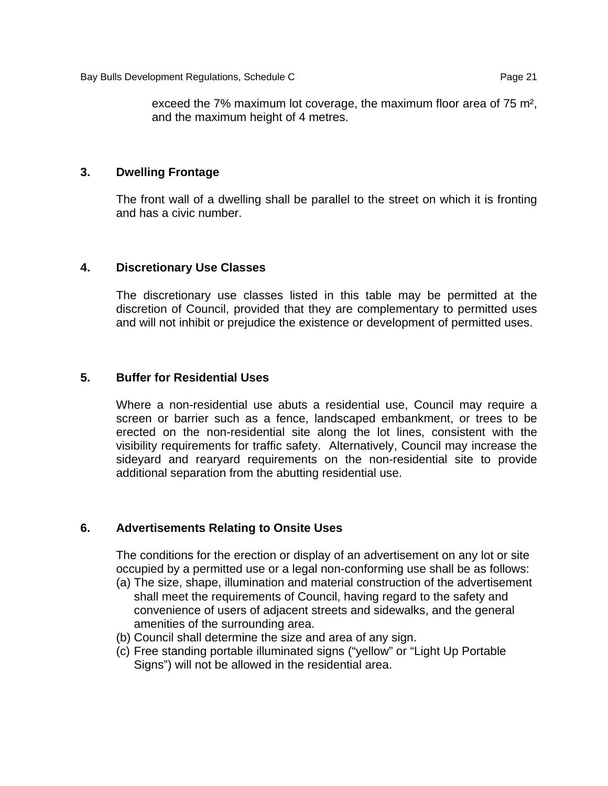exceed the 7% maximum lot coverage, the maximum floor area of 75 m², and the maximum height of 4 metres.

### **3. Dwelling Frontage**

The front wall of a dwelling shall be parallel to the street on which it is fronting and has a civic number.

#### **4. Discretionary Use Classes**

The discretionary use classes listed in this table may be permitted at the discretion of Council, provided that they are complementary to permitted uses and will not inhibit or prejudice the existence or development of permitted uses.

### **5. Buffer for Residential Uses**

Where a non-residential use abuts a residential use, Council may require a screen or barrier such as a fence, landscaped embankment, or trees to be erected on the non-residential site along the lot lines, consistent with the visibility requirements for traffic safety. Alternatively, Council may increase the sideyard and rearyard requirements on the non-residential site to provide additional separation from the abutting residential use.

# **6. Advertisements Relating to Onsite Uses**

The conditions for the erection or display of an advertisement on any lot or site occupied by a permitted use or a legal non-conforming use shall be as follows:

- (a) The size, shape, illumination and material construction of the advertisement shall meet the requirements of Council, having regard to the safety and convenience of users of adjacent streets and sidewalks, and the general amenities of the surrounding area.
- (b) Council shall determine the size and area of any sign.
- (c) Free standing portable illuminated signs ("yellow" or "Light Up Portable Signs") will not be allowed in the residential area.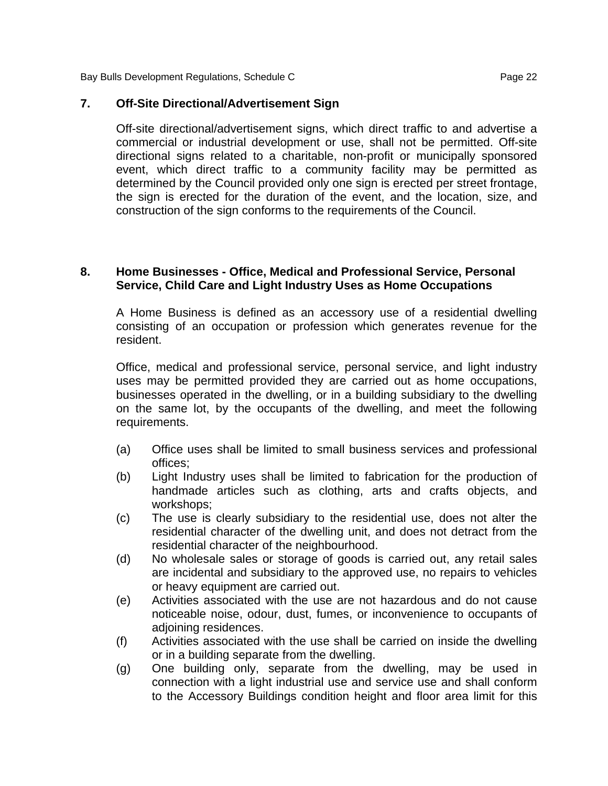Bay Bulls Development Regulations, Schedule C<br>
Page 22

#### **7. Off-Site Directional/Advertisement Sign**

Off-site directional/advertisement signs, which direct traffic to and advertise a commercial or industrial development or use, shall not be permitted. Off-site directional signs related to a charitable, non-profit or municipally sponsored event, which direct traffic to a community facility may be permitted as determined by the Council provided only one sign is erected per street frontage, the sign is erected for the duration of the event, and the location, size, and construction of the sign conforms to the requirements of the Council.

#### **8. Home Businesses - Office, Medical and Professional Service, Personal Service, Child Care and Light Industry Uses as Home Occupations**

A Home Business is defined as an accessory use of a residential dwelling consisting of an occupation or profession which generates revenue for the resident.

Office, medical and professional service, personal service, and light industry uses may be permitted provided they are carried out as home occupations, businesses operated in the dwelling, or in a building subsidiary to the dwelling on the same lot, by the occupants of the dwelling, and meet the following requirements.

- (a) Office uses shall be limited to small business services and professional offices;
- (b) Light Industry uses shall be limited to fabrication for the production of handmade articles such as clothing, arts and crafts objects, and workshops;
- (c) The use is clearly subsidiary to the residential use, does not alter the residential character of the dwelling unit, and does not detract from the residential character of the neighbourhood.
- (d) No wholesale sales or storage of goods is carried out, any retail sales are incidental and subsidiary to the approved use, no repairs to vehicles or heavy equipment are carried out.
- (e) Activities associated with the use are not hazardous and do not cause noticeable noise, odour, dust, fumes, or inconvenience to occupants of adjoining residences.
- (f) Activities associated with the use shall be carried on inside the dwelling or in a building separate from the dwelling.
- (g) One building only, separate from the dwelling, may be used in connection with a light industrial use and service use and shall conform to the Accessory Buildings condition height and floor area limit for this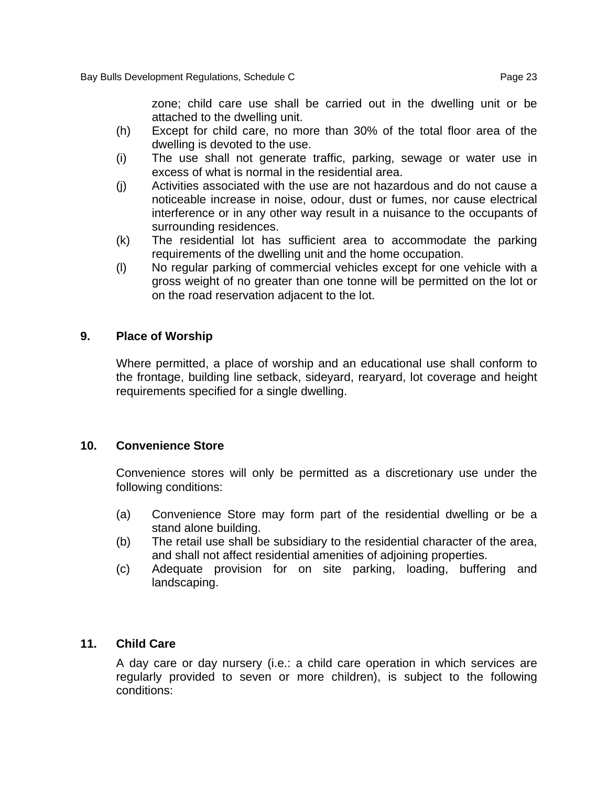zone; child care use shall be carried out in the dwelling unit or be attached to the dwelling unit.

- (h) Except for child care, no more than 30% of the total floor area of the dwelling is devoted to the use.
- (i) The use shall not generate traffic, parking, sewage or water use in excess of what is normal in the residential area.
- (j) Activities associated with the use are not hazardous and do not cause a noticeable increase in noise, odour, dust or fumes, nor cause electrical interference or in any other way result in a nuisance to the occupants of surrounding residences.
- (k) The residential lot has sufficient area to accommodate the parking requirements of the dwelling unit and the home occupation.
- (l) No regular parking of commercial vehicles except for one vehicle with a gross weight of no greater than one tonne will be permitted on the lot or on the road reservation adjacent to the lot.

#### **9. Place of Worship**

Where permitted, a place of worship and an educational use shall conform to the frontage, building line setback, sideyard, rearyard, lot coverage and height requirements specified for a single dwelling.

#### **10. Convenience Store**

Convenience stores will only be permitted as a discretionary use under the following conditions:

- (a) Convenience Store may form part of the residential dwelling or be a stand alone building.
- (b) The retail use shall be subsidiary to the residential character of the area, and shall not affect residential amenities of adjoining properties.
- (c) Adequate provision for on site parking, loading, buffering and landscaping.

#### **11. Child Care**

A day care or day nursery (i.e.: a child care operation in which services are regularly provided to seven or more children), is subject to the following conditions: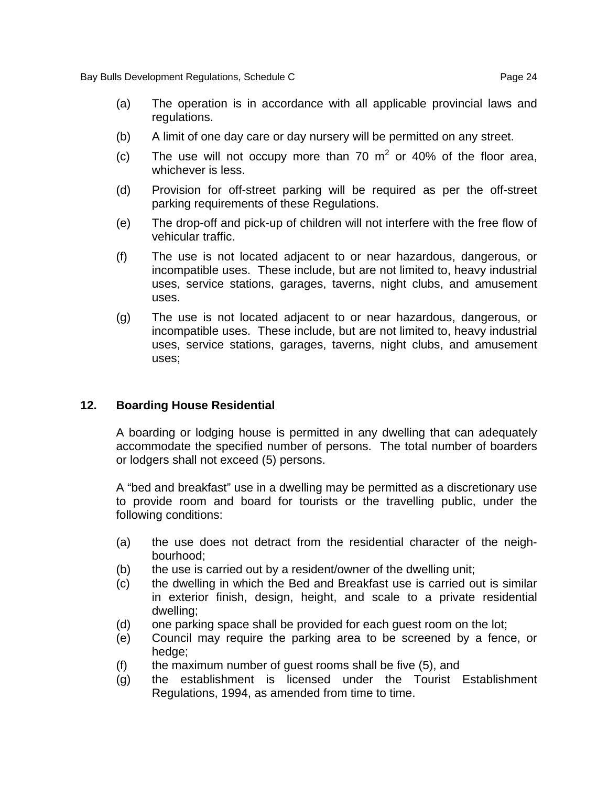- (a) The operation is in accordance with all applicable provincial laws and regulations.
- (b) A limit of one day care or day nursery will be permitted on any street.
- (c) The use will not occupy more than 70  $m^2$  or 40% of the floor area, whichever is less.
- (d) Provision for off-street parking will be required as per the off-street parking requirements of these Regulations.
- (e) The drop-off and pick-up of children will not interfere with the free flow of vehicular traffic.
- (f) The use is not located adjacent to or near hazardous, dangerous, or incompatible uses. These include, but are not limited to, heavy industrial uses, service stations, garages, taverns, night clubs, and amusement uses.
- (g) The use is not located adjacent to or near hazardous, dangerous, or incompatible uses. These include, but are not limited to, heavy industrial uses, service stations, garages, taverns, night clubs, and amusement uses;

#### **12. Boarding House Residential**

A boarding or lodging house is permitted in any dwelling that can adequately accommodate the specified number of persons. The total number of boarders or lodgers shall not exceed (5) persons.

A "bed and breakfast" use in a dwelling may be permitted as a discretionary use to provide room and board for tourists or the travelling public, under the following conditions:

- (a) the use does not detract from the residential character of the neighbourhood;
- (b) the use is carried out by a resident/owner of the dwelling unit;
- (c) the dwelling in which the Bed and Breakfast use is carried out is similar in exterior finish, design, height, and scale to a private residential dwelling;
- (d) one parking space shall be provided for each guest room on the lot;
- (e) Council may require the parking area to be screened by a fence, or hedge;
- (f) the maximum number of guest rooms shall be five (5), and
- (g) the establishment is licensed under the Tourist Establishment Regulations, 1994, as amended from time to time.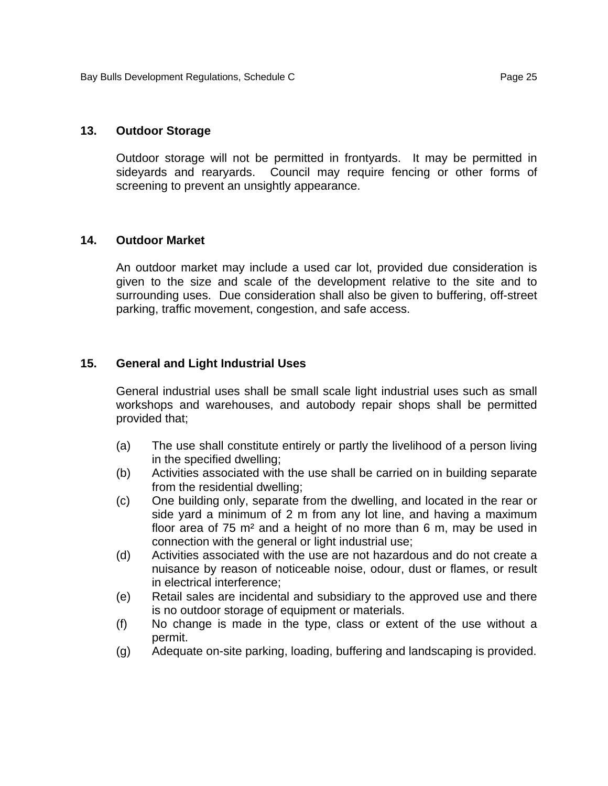#### **13. Outdoor Storage**

Outdoor storage will not be permitted in frontyards. It may be permitted in sideyards and rearyards. Council may require fencing or other forms of screening to prevent an unsightly appearance.

#### **14. Outdoor Market**

An outdoor market may include a used car lot, provided due consideration is given to the size and scale of the development relative to the site and to surrounding uses. Due consideration shall also be given to buffering, off-street parking, traffic movement, congestion, and safe access.

#### **15. General and Light Industrial Uses**

General industrial uses shall be small scale light industrial uses such as small workshops and warehouses, and autobody repair shops shall be permitted provided that;

- (a) The use shall constitute entirely or partly the livelihood of a person living in the specified dwelling;
- (b) Activities associated with the use shall be carried on in building separate from the residential dwelling;
- (c) One building only, separate from the dwelling, and located in the rear or side yard a minimum of 2 m from any lot line, and having a maximum floor area of  $75$  m<sup>2</sup> and a height of no more than 6 m, may be used in connection with the general or light industrial use;
- (d) Activities associated with the use are not hazardous and do not create a nuisance by reason of noticeable noise, odour, dust or flames, or result in electrical interference;
- (e) Retail sales are incidental and subsidiary to the approved use and there is no outdoor storage of equipment or materials.
- (f) No change is made in the type, class or extent of the use without a permit.
- (g) Adequate on-site parking, loading, buffering and landscaping is provided.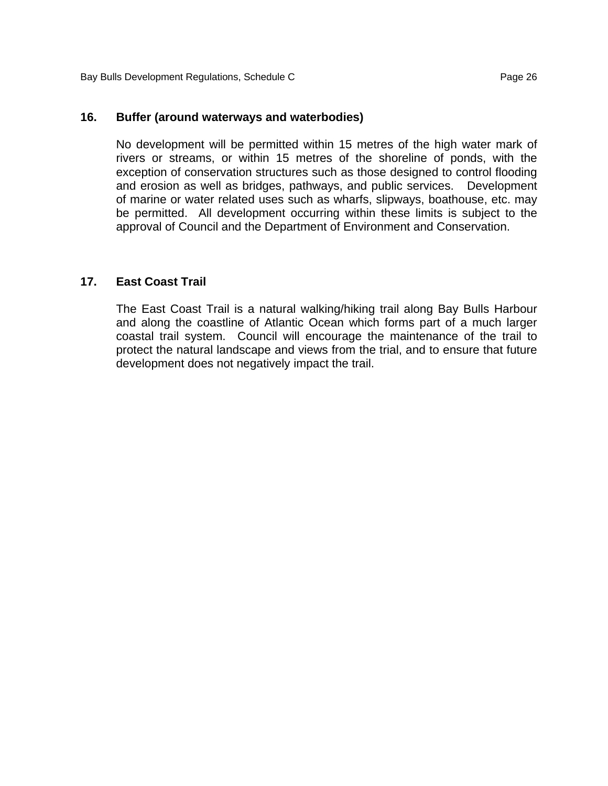#### **16. Buffer (around waterways and waterbodies)**

No development will be permitted within 15 metres of the high water mark of rivers or streams, or within 15 metres of the shoreline of ponds, with the exception of conservation structures such as those designed to control flooding and erosion as well as bridges, pathways, and public services. Development of marine or water related uses such as wharfs, slipways, boathouse, etc. may be permitted. All development occurring within these limits is subject to the approval of Council and the Department of Environment and Conservation.

#### **17. East Coast Trail**

The East Coast Trail is a natural walking/hiking trail along Bay Bulls Harbour and along the coastline of Atlantic Ocean which forms part of a much larger coastal trail system. Council will encourage the maintenance of the trail to protect the natural landscape and views from the trial, and to ensure that future development does not negatively impact the trail.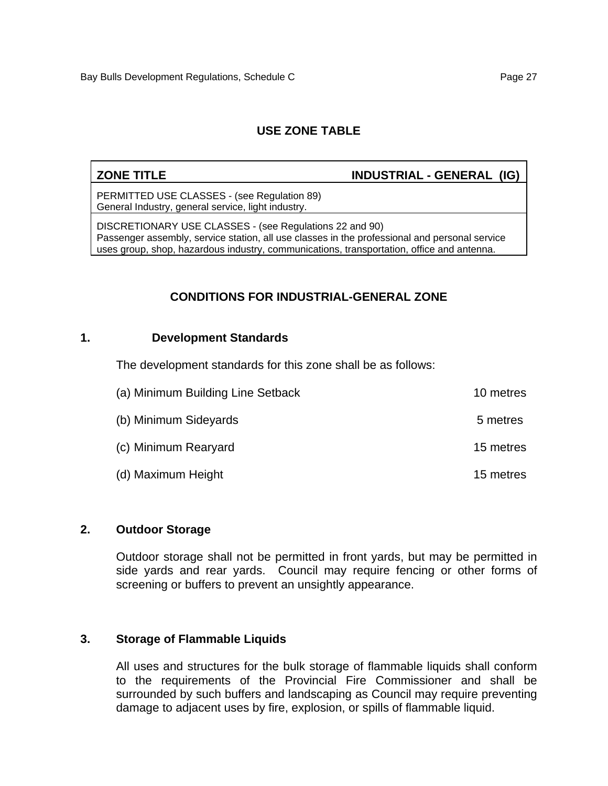#### **ZONE TITLE INDUSTRIAL - GENERAL (IG)**

PERMITTED USE CLASSES - (see Regulation 89) General Industry, general service, light industry.

DISCRETIONARY USE CLASSES - (see Regulations 22 and 90) Passenger assembly, service station, all use classes in the professional and personal service uses group, shop, hazardous industry, communications, transportation, office and antenna.

### **CONDITIONS FOR INDUSTRIAL-GENERAL ZONE**

#### **1. Development Standards**

The development standards for this zone shall be as follows:

| (a) Minimum Building Line Setback | 10 metres |
|-----------------------------------|-----------|
| (b) Minimum Sideyards             | 5 metres  |
| (c) Minimum Rearyard              | 15 metres |
| (d) Maximum Height                | 15 metres |

#### **2. Outdoor Storage**

Outdoor storage shall not be permitted in front yards, but may be permitted in side yards and rear yards. Council may require fencing or other forms of screening or buffers to prevent an unsightly appearance.

#### **3. Storage of Flammable Liquids**

All uses and structures for the bulk storage of flammable liquids shall conform to the requirements of the Provincial Fire Commissioner and shall be surrounded by such buffers and landscaping as Council may require preventing damage to adjacent uses by fire, explosion, or spills of flammable liquid.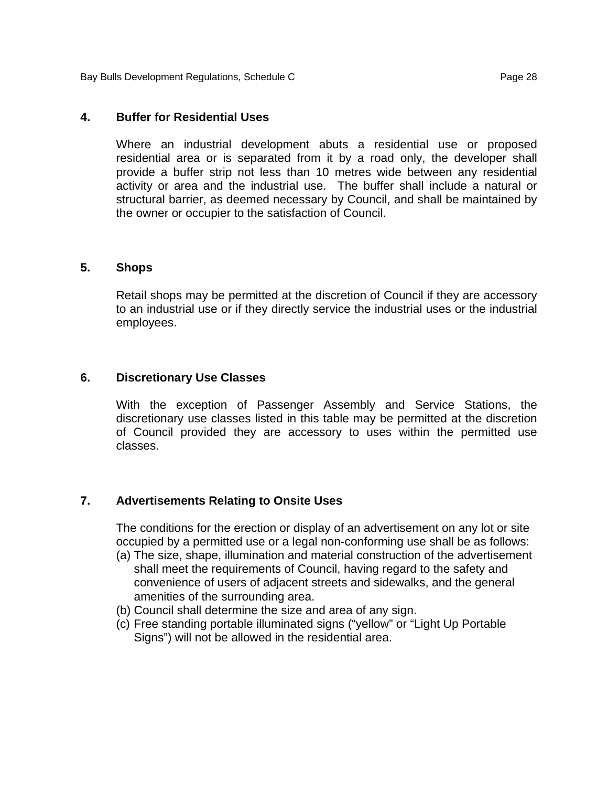Bay Bulls Development Regulations, Schedule C **Page 28** Page 28

#### **4. Buffer for Residential Uses**

Where an industrial development abuts a residential use or proposed residential area or is separated from it by a road only, the developer shall provide a buffer strip not less than 10 metres wide between any residential activity or area and the industrial use. The buffer shall include a natural or structural barrier, as deemed necessary by Council, and shall be maintained by the owner or occupier to the satisfaction of Council.

#### **5. Shops**

Retail shops may be permitted at the discretion of Council if they are accessory to an industrial use or if they directly service the industrial uses or the industrial employees.

#### **6. Discretionary Use Classes**

With the exception of Passenger Assembly and Service Stations, the discretionary use classes listed in this table may be permitted at the discretion of Council provided they are accessory to uses within the permitted use classes.

#### **7. Advertisements Relating to Onsite Uses**

The conditions for the erection or display of an advertisement on any lot or site occupied by a permitted use or a legal non-conforming use shall be as follows:

- (a) The size, shape, illumination and material construction of the advertisement shall meet the requirements of Council, having regard to the safety and convenience of users of adjacent streets and sidewalks, and the general amenities of the surrounding area.
- (b) Council shall determine the size and area of any sign.
- (c) Free standing portable illuminated signs ("yellow" or "Light Up Portable Signs") will not be allowed in the residential area.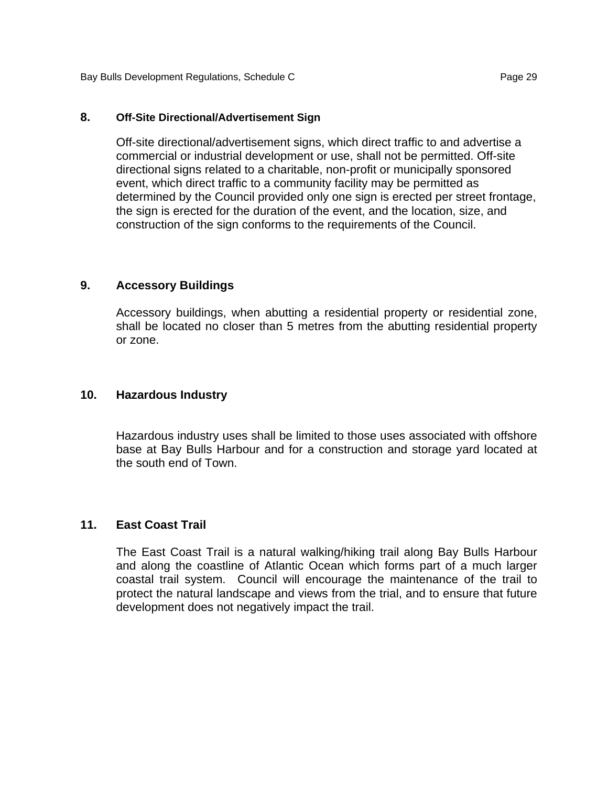#### **8. Off-Site Directional/Advertisement Sign**

Off-site directional/advertisement signs, which direct traffic to and advertise a commercial or industrial development or use, shall not be permitted. Off-site directional signs related to a charitable, non-profit or municipally sponsored event, which direct traffic to a community facility may be permitted as determined by the Council provided only one sign is erected per street frontage, the sign is erected for the duration of the event, and the location, size, and construction of the sign conforms to the requirements of the Council.

#### **9. Accessory Buildings**

Accessory buildings, when abutting a residential property or residential zone, shall be located no closer than 5 metres from the abutting residential property or zone.

#### **10. Hazardous Industry**

Hazardous industry uses shall be limited to those uses associated with offshore base at Bay Bulls Harbour and for a construction and storage yard located at the south end of Town.

#### **11. East Coast Trail**

The East Coast Trail is a natural walking/hiking trail along Bay Bulls Harbour and along the coastline of Atlantic Ocean which forms part of a much larger coastal trail system. Council will encourage the maintenance of the trail to protect the natural landscape and views from the trial, and to ensure that future development does not negatively impact the trail.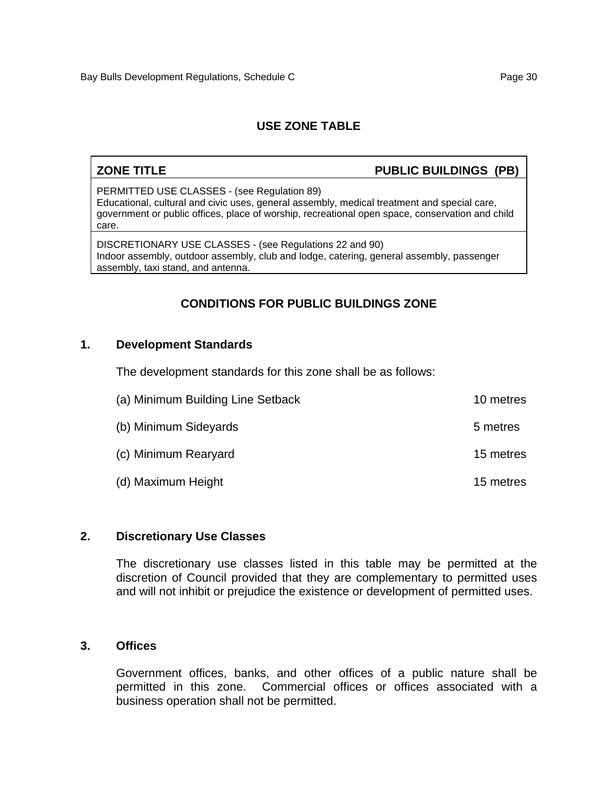# **ZONE TITLE** PUBLIC BUILDINGS (PB)

PERMITTED USE CLASSES - (see Regulation 89) Educational, cultural and civic uses, general assembly, medical treatment and special care, government or public offices, place of worship, recreational open space, conservation and child care.

DISCRETIONARY USE CLASSES - (see Regulations 22 and 90) Indoor assembly, outdoor assembly, club and lodge, catering, general assembly, passenger assembly, taxi stand, and antenna.

# **CONDITIONS FOR PUBLIC BUILDINGS ZONE**

#### **1. Development Standards**

The development standards for this zone shall be as follows:

| (a) Minimum Building Line Setback | 10 metres |
|-----------------------------------|-----------|
| (b) Minimum Sideyards             | 5 metres  |
| (c) Minimum Rearyard              | 15 metres |
| (d) Maximum Height                | 15 metres |

#### **2. Discretionary Use Classes**

The discretionary use classes listed in this table may be permitted at the discretion of Council provided that they are complementary to permitted uses and will not inhibit or prejudice the existence or development of permitted uses.

#### **3. Offices**

Government offices, banks, and other offices of a public nature shall be permitted in this zone. Commercial offices or offices associated with a business operation shall not be permitted.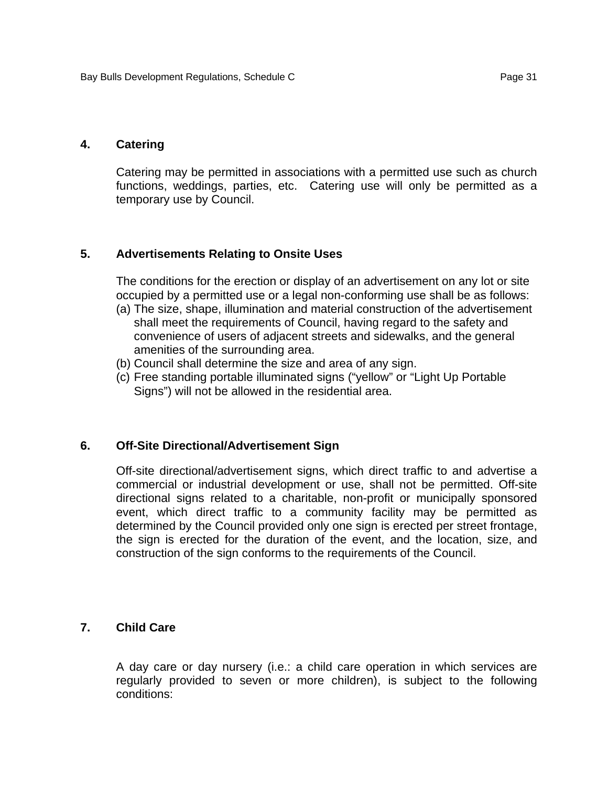#### **4. Catering**

Catering may be permitted in associations with a permitted use such as church functions, weddings, parties, etc. Catering use will only be permitted as a temporary use by Council.

#### **5. Advertisements Relating to Onsite Uses**

The conditions for the erection or display of an advertisement on any lot or site occupied by a permitted use or a legal non-conforming use shall be as follows:

- (a) The size, shape, illumination and material construction of the advertisement shall meet the requirements of Council, having regard to the safety and convenience of users of adjacent streets and sidewalks, and the general amenities of the surrounding area.
- (b) Council shall determine the size and area of any sign.
- (c) Free standing portable illuminated signs ("yellow" or "Light Up Portable Signs") will not be allowed in the residential area.

#### **6. Off-Site Directional/Advertisement Sign**

Off-site directional/advertisement signs, which direct traffic to and advertise a commercial or industrial development or use, shall not be permitted. Off-site directional signs related to a charitable, non-profit or municipally sponsored event, which direct traffic to a community facility may be permitted as determined by the Council provided only one sign is erected per street frontage, the sign is erected for the duration of the event, and the location, size, and construction of the sign conforms to the requirements of the Council.

#### **7. Child Care**

A day care or day nursery (i.e.: a child care operation in which services are regularly provided to seven or more children), is subject to the following conditions: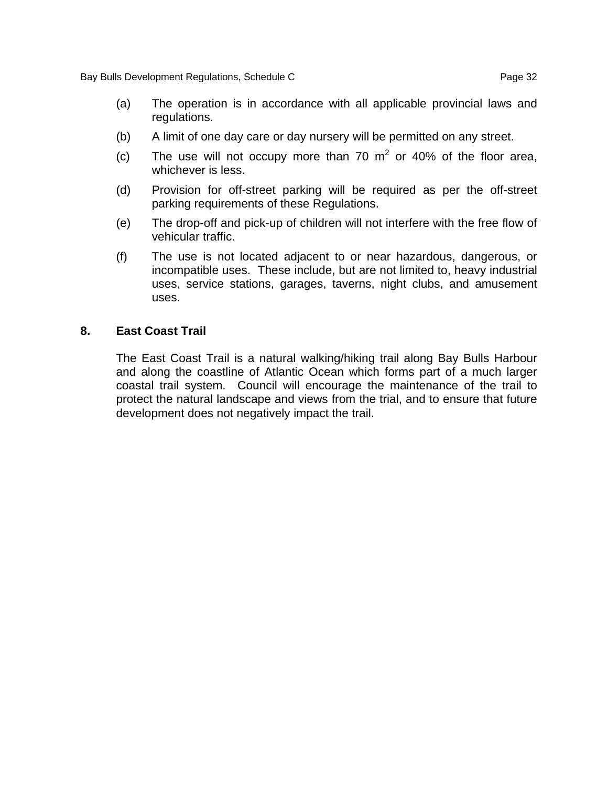- (b) A limit of one day care or day nursery will be permitted on any street.
- (c) The use will not occupy more than 70  $m^2$  or 40% of the floor area, whichever is less.
- (d) Provision for off-street parking will be required as per the off-street parking requirements of these Regulations.
- (e) The drop-off and pick-up of children will not interfere with the free flow of vehicular traffic.
- (f) The use is not located adjacent to or near hazardous, dangerous, or incompatible uses. These include, but are not limited to, heavy industrial uses, service stations, garages, taverns, night clubs, and amusement uses.

### **8. East Coast Trail**

The East Coast Trail is a natural walking/hiking trail along Bay Bulls Harbour and along the coastline of Atlantic Ocean which forms part of a much larger coastal trail system. Council will encourage the maintenance of the trail to protect the natural landscape and views from the trial, and to ensure that future development does not negatively impact the trail.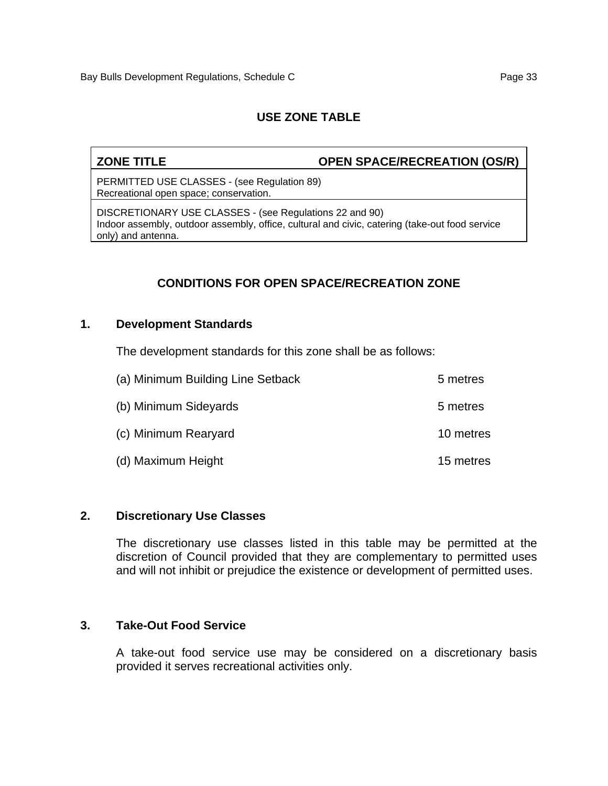ZONE TITLE **OPEN SPACE/RECREATION (OS/R)** 

PERMITTED USE CLASSES - (see Regulation 89) Recreational open space; conservation.

DISCRETIONARY USE CLASSES - (see Regulations 22 and 90) Indoor assembly, outdoor assembly, office, cultural and civic, catering (take-out food service only) and antenna.

# **CONDITIONS FOR OPEN SPACE/RECREATION ZONE**

#### **1. Development Standards**

The development standards for this zone shall be as follows:

| (a) Minimum Building Line Setback | 5 metres  |
|-----------------------------------|-----------|
| (b) Minimum Sideyards             | 5 metres  |
| (c) Minimum Rearyard              | 10 metres |
| (d) Maximum Height                | 15 metres |

#### **2. Discretionary Use Classes**

The discretionary use classes listed in this table may be permitted at the discretion of Council provided that they are complementary to permitted uses and will not inhibit or prejudice the existence or development of permitted uses.

#### **3. Take-Out Food Service**

A take-out food service use may be considered on a discretionary basis provided it serves recreational activities only.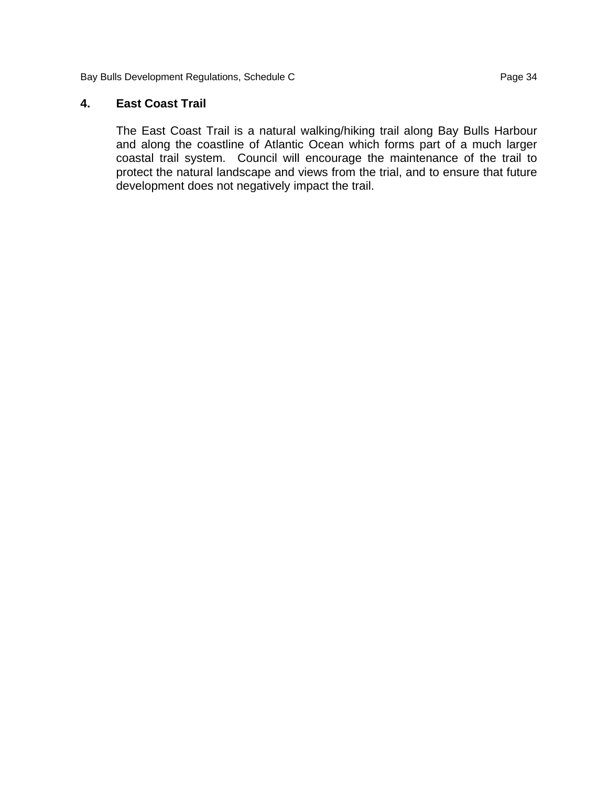Bay Bulls Development Regulations, Schedule C<br>
Page 34

#### **4. East Coast Trail**

The East Coast Trail is a natural walking/hiking trail along Bay Bulls Harbour and along the coastline of Atlantic Ocean which forms part of a much larger coastal trail system. Council will encourage the maintenance of the trail to protect the natural landscape and views from the trial, and to ensure that future development does not negatively impact the trail.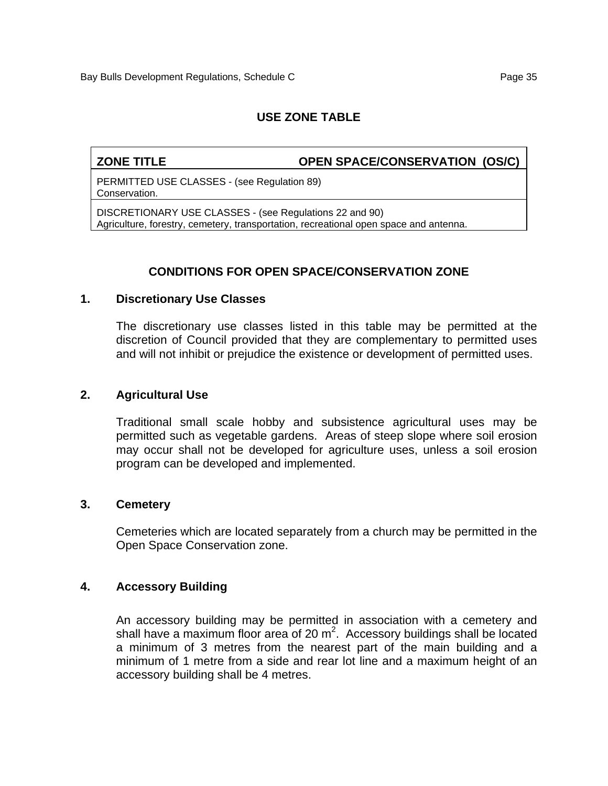**ZONE TITLE OPEN SPACE/CONSERVATION (OS/C)** 

PERMITTED USE CLASSES - (see Regulation 89) Conservation.

DISCRETIONARY USE CLASSES - (see Regulations 22 and 90) Agriculture, forestry, cemetery, transportation, recreational open space and antenna.

# **CONDITIONS FOR OPEN SPACE/CONSERVATION ZONE**

#### **1. Discretionary Use Classes**

The discretionary use classes listed in this table may be permitted at the discretion of Council provided that they are complementary to permitted uses and will not inhibit or prejudice the existence or development of permitted uses.

#### **2. Agricultural Use**

Traditional small scale hobby and subsistence agricultural uses may be permitted such as vegetable gardens. Areas of steep slope where soil erosion may occur shall not be developed for agriculture uses, unless a soil erosion program can be developed and implemented.

#### **3. Cemetery**

Cemeteries which are located separately from a church may be permitted in the Open Space Conservation zone.

#### **4. Accessory Building**

An accessory building may be permitted in association with a cemetery and shall have a maximum floor area of 20  $m^2$ . Accessory buildings shall be located a minimum of 3 metres from the nearest part of the main building and a minimum of 1 metre from a side and rear lot line and a maximum height of an accessory building shall be 4 metres.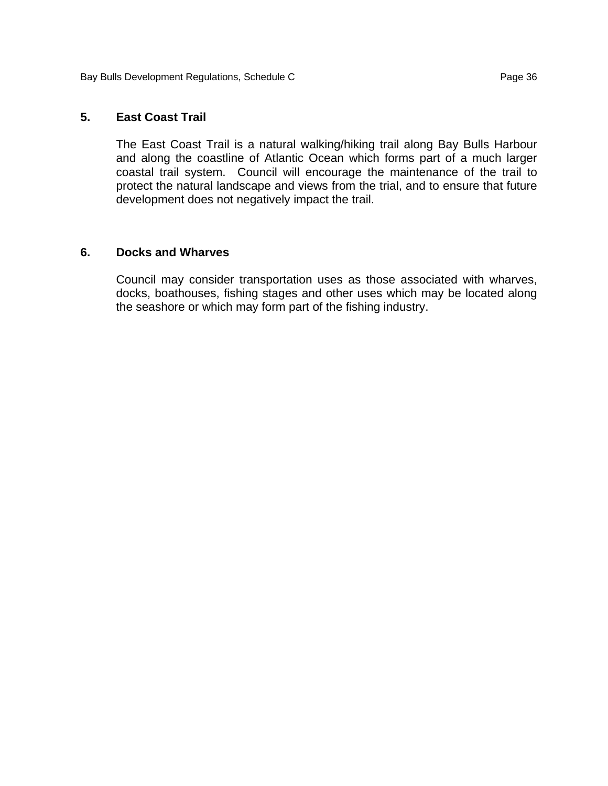#### **5. East Coast Trail**

The East Coast Trail is a natural walking/hiking trail along Bay Bulls Harbour and along the coastline of Atlantic Ocean which forms part of a much larger coastal trail system. Council will encourage the maintenance of the trail to protect the natural landscape and views from the trial, and to ensure that future development does not negatively impact the trail.

#### **6. Docks and Wharves**

Council may consider transportation uses as those associated with wharves, docks, boathouses, fishing stages and other uses which may be located along the seashore or which may form part of the fishing industry.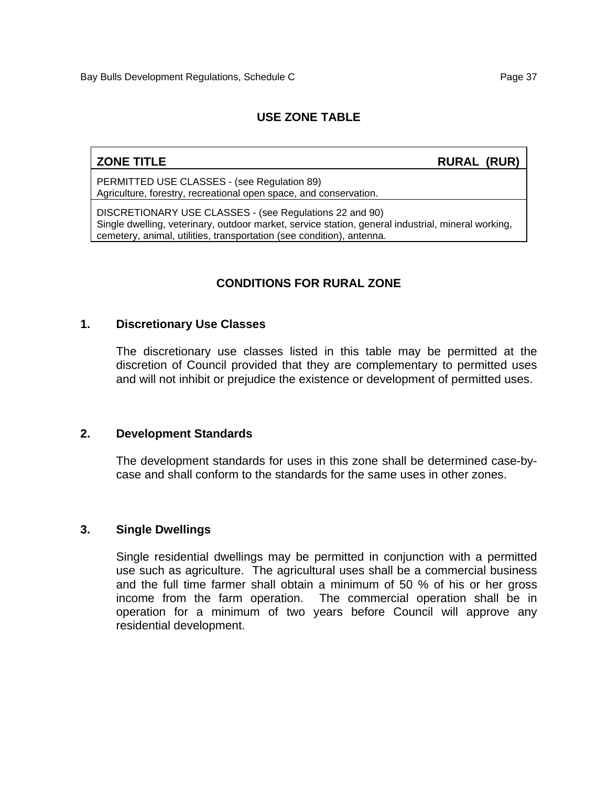**ZONE TITLE** RURAL (RUR)

PERMITTED USE CLASSES - (see Regulation 89) Agriculture, forestry, recreational open space, and conservation.

DISCRETIONARY USE CLASSES - (see Regulations 22 and 90) Single dwelling, veterinary, outdoor market, service station, general industrial, mineral working, cemetery, animal, utilities, transportation (see condition), antenna.

# **CONDITIONS FOR RURAL ZONE**

#### **1. Discretionary Use Classes**

The discretionary use classes listed in this table may be permitted at the discretion of Council provided that they are complementary to permitted uses and will not inhibit or prejudice the existence or development of permitted uses.

#### **2. Development Standards**

The development standards for uses in this zone shall be determined case-bycase and shall conform to the standards for the same uses in other zones.

#### **3. Single Dwellings**

Single residential dwellings may be permitted in conjunction with a permitted use such as agriculture. The agricultural uses shall be a commercial business and the full time farmer shall obtain a minimum of 50 % of his or her gross income from the farm operation. The commercial operation shall be in operation for a minimum of two years before Council will approve any residential development.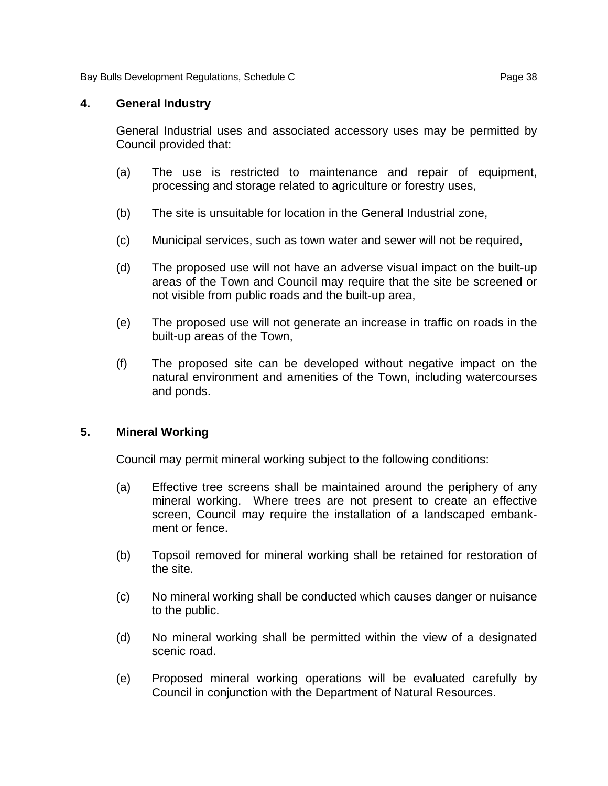Bay Bulls Development Regulations, Schedule C **Page 38** Page 38

#### **4. General Industry**

General Industrial uses and associated accessory uses may be permitted by Council provided that:

- (a) The use is restricted to maintenance and repair of equipment, processing and storage related to agriculture or forestry uses,
- (b) The site is unsuitable for location in the General Industrial zone,
- (c) Municipal services, such as town water and sewer will not be required,
- (d) The proposed use will not have an adverse visual impact on the built-up areas of the Town and Council may require that the site be screened or not visible from public roads and the built-up area,
- (e) The proposed use will not generate an increase in traffic on roads in the built-up areas of the Town,
- (f) The proposed site can be developed without negative impact on the natural environment and amenities of the Town, including watercourses and ponds.

#### **5. Mineral Working**

Council may permit mineral working subject to the following conditions:

- (a) Effective tree screens shall be maintained around the periphery of any mineral working. Where trees are not present to create an effective screen, Council may require the installation of a landscaped embankment or fence.
- (b) Topsoil removed for mineral working shall be retained for restoration of the site.
- (c) No mineral working shall be conducted which causes danger or nuisance to the public.
- (d) No mineral working shall be permitted within the view of a designated scenic road.
- (e) Proposed mineral working operations will be evaluated carefully by Council in conjunction with the Department of Natural Resources.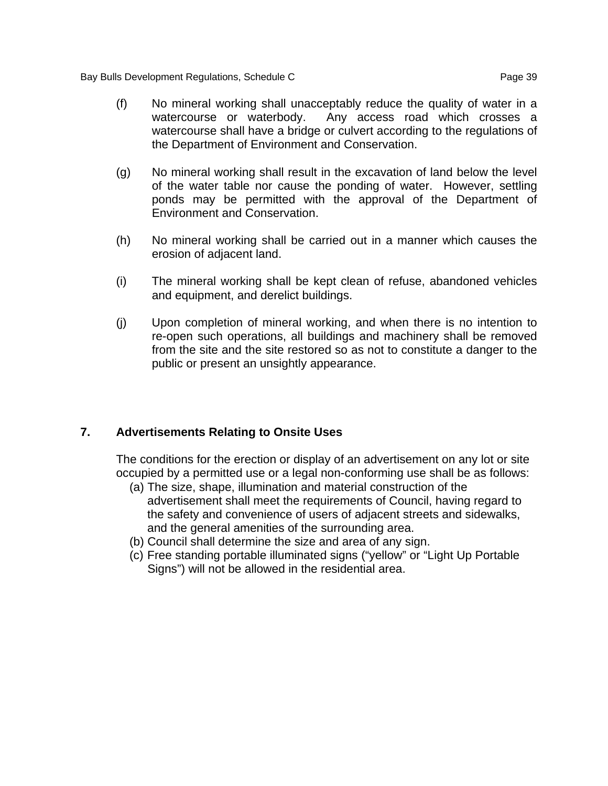Bay Bulls Development Regulations, Schedule C **Page 39** Page 39

- (f) No mineral working shall unacceptably reduce the quality of water in a watercourse or waterbody. Any access road which crosses a watercourse shall have a bridge or culvert according to the regulations of the Department of Environment and Conservation.
- (g) No mineral working shall result in the excavation of land below the level of the water table nor cause the ponding of water. However, settling ponds may be permitted with the approval of the Department of Environment and Conservation.
- (h) No mineral working shall be carried out in a manner which causes the erosion of adjacent land.
- (i) The mineral working shall be kept clean of refuse, abandoned vehicles and equipment, and derelict buildings.
- (j) Upon completion of mineral working, and when there is no intention to re-open such operations, all buildings and machinery shall be removed from the site and the site restored so as not to constitute a danger to the public or present an unsightly appearance.

# **7. Advertisements Relating to Onsite Uses**

The conditions for the erection or display of an advertisement on any lot or site occupied by a permitted use or a legal non-conforming use shall be as follows:

- (a) The size, shape, illumination and material construction of the advertisement shall meet the requirements of Council, having regard to the safety and convenience of users of adjacent streets and sidewalks, and the general amenities of the surrounding area.
- (b) Council shall determine the size and area of any sign.
- (c) Free standing portable illuminated signs ("yellow" or "Light Up Portable Signs") will not be allowed in the residential area.